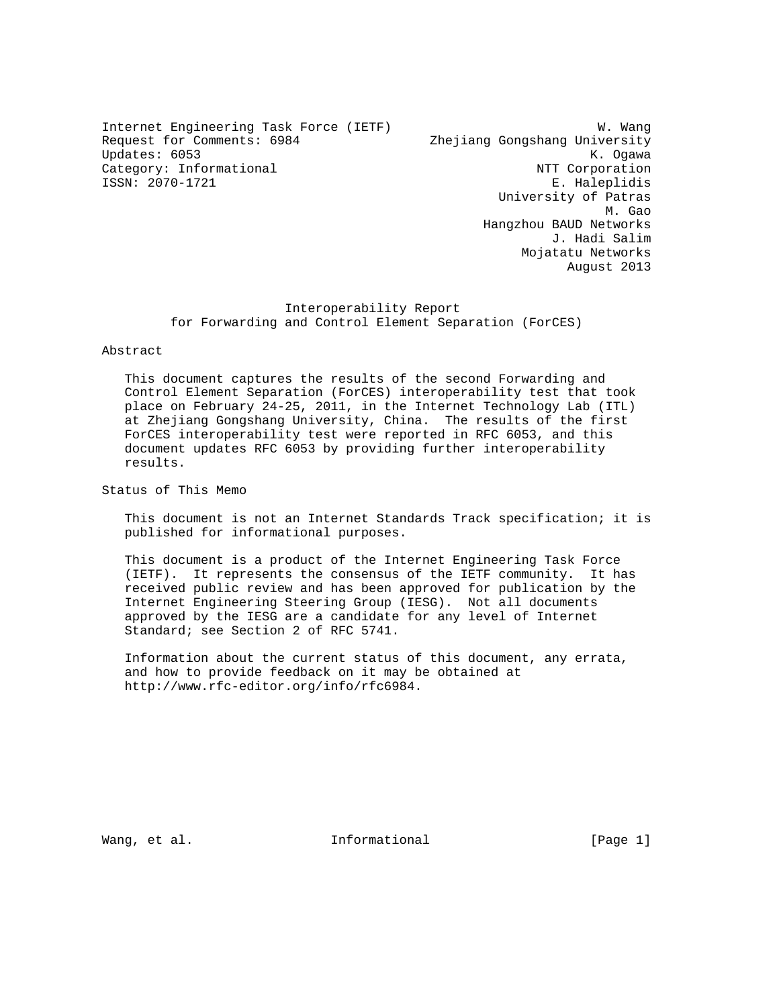Internet Engineering Task Force (IETF) W. Wang Request for Comments: 6984 Zhejiang Gongshang University Updates: 6053 K. Ogawa Category: Informational  $\overline{N}$ ISSN: 2070-1721 E. Haleplidis

 University of Patras M. Gao and the state of the state of the state of the state of the state of the state of the state of the state of the state of the state of the state of the state of the state of the state of the state of the state of the Hangzhou BAUD Networks J. Hadi Salim Mojatatu Networks August 2013

## Interoperability Report for Forwarding and Control Element Separation (ForCES)

### Abstract

 This document captures the results of the second Forwarding and Control Element Separation (ForCES) interoperability test that took place on February 24-25, 2011, in the Internet Technology Lab (ITL) at Zhejiang Gongshang University, China. The results of the first ForCES interoperability test were reported in RFC 6053, and this document updates RFC 6053 by providing further interoperability results.

Status of This Memo

 This document is not an Internet Standards Track specification; it is published for informational purposes.

 This document is a product of the Internet Engineering Task Force (IETF). It represents the consensus of the IETF community. It has received public review and has been approved for publication by the Internet Engineering Steering Group (IESG). Not all documents approved by the IESG are a candidate for any level of Internet Standard; see Section 2 of RFC 5741.

 Information about the current status of this document, any errata, and how to provide feedback on it may be obtained at http://www.rfc-editor.org/info/rfc6984.

Wang, et al. The Informational The Informational (Page 1)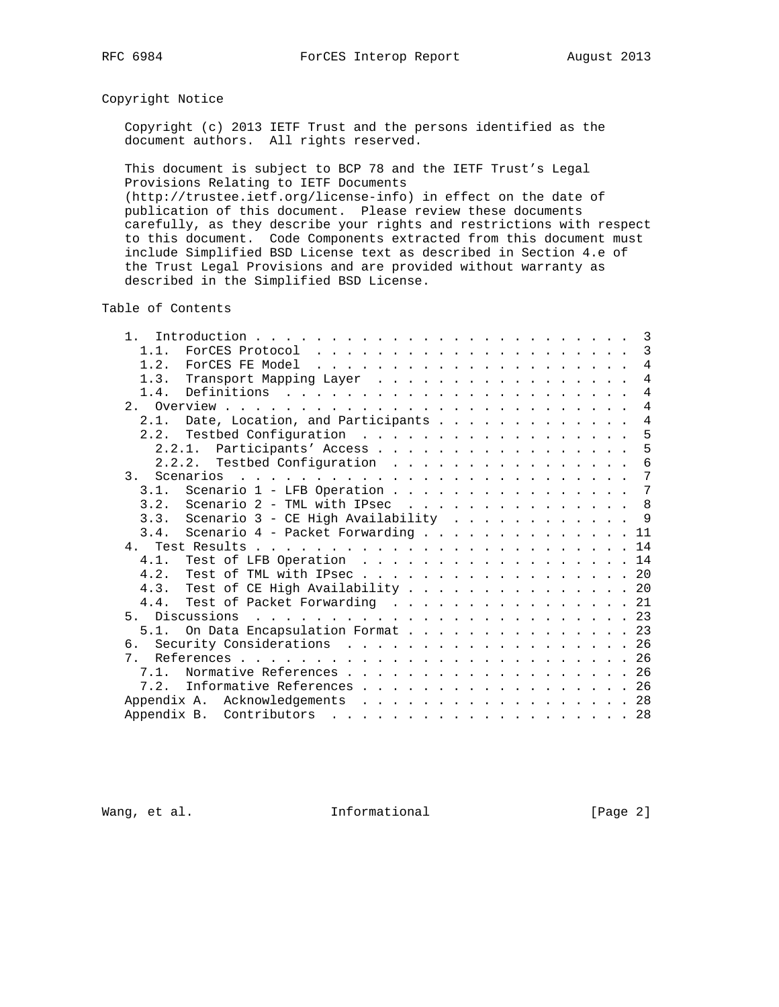## Copyright Notice

 Copyright (c) 2013 IETF Trust and the persons identified as the document authors. All rights reserved.

 This document is subject to BCP 78 and the IETF Trust's Legal Provisions Relating to IETF Documents (http://trustee.ietf.org/license-info) in effect on the date of

 publication of this document. Please review these documents carefully, as they describe your rights and restrictions with respect to this document. Code Components extracted from this document must include Simplified BSD License text as described in Section 4.e of the Trust Legal Provisions and are provided without warranty as described in the Simplified BSD License.

Table of Contents

| $1$ .                           |                                           |                                   |  |  |  |  |  |  |  |  |  | 3              |
|---------------------------------|-------------------------------------------|-----------------------------------|--|--|--|--|--|--|--|--|--|----------------|
| 1.1.                            |                                           |                                   |  |  |  |  |  |  |  |  |  | $\mathbf{3}$   |
| 1.2.                            |                                           |                                   |  |  |  |  |  |  |  |  |  | $\overline{4}$ |
| 1.3.                            | Transport Mapping Layer                   |                                   |  |  |  |  |  |  |  |  |  | 4              |
| 1.4.                            |                                           |                                   |  |  |  |  |  |  |  |  |  | $\overline{4}$ |
|                                 |                                           |                                   |  |  |  |  |  |  |  |  |  | $\overline{4}$ |
| 2.1.                            |                                           | Date, Location, and Participants  |  |  |  |  |  |  |  |  |  | 4              |
|                                 |                                           |                                   |  |  |  |  |  |  |  |  |  | 5              |
|                                 | 2.2.1.                                    | Participants' Access              |  |  |  |  |  |  |  |  |  | 5              |
|                                 | 2.2.2. Testbed Configuration              |                                   |  |  |  |  |  |  |  |  |  | 6              |
| 3.                              |                                           |                                   |  |  |  |  |  |  |  |  |  | $\overline{7}$ |
| 3.1.                            |                                           | Scenario $1$ - LFB Operation      |  |  |  |  |  |  |  |  |  | 7              |
| 3.2.                            |                                           | Scenario 2 - TML with IPsec 8     |  |  |  |  |  |  |  |  |  |                |
|                                 | 3.3. Scenario 3 - CE High Availability  9 |                                   |  |  |  |  |  |  |  |  |  |                |
| 3.4.                            |                                           | Scenario 4 - Packet Forwarding 11 |  |  |  |  |  |  |  |  |  |                |
|                                 |                                           |                                   |  |  |  |  |  |  |  |  |  |                |
| 4.1.                            |                                           | Test of LFB Operation             |  |  |  |  |  |  |  |  |  | 14             |
| 4.2.                            |                                           | Test of TML with IPsec20          |  |  |  |  |  |  |  |  |  |                |
| 4.3.                            | Test of CE High Availability 20           |                                   |  |  |  |  |  |  |  |  |  |                |
|                                 | 4.4. Test of Packet Forwarding            |                                   |  |  |  |  |  |  |  |  |  | 21             |
| 5 <sub>1</sub>                  | Discussions                               |                                   |  |  |  |  |  |  |  |  |  |                |
| 5.1.                            |                                           | On Data Encapsulation Format 23   |  |  |  |  |  |  |  |  |  |                |
|                                 |                                           |                                   |  |  |  |  |  |  |  |  |  | 26             |
| 7 <sup>1</sup>                  |                                           |                                   |  |  |  |  |  |  |  |  |  |                |
| 7 1                             |                                           | Normative References 26           |  |  |  |  |  |  |  |  |  |                |
|                                 |                                           | Informative References            |  |  |  |  |  |  |  |  |  | -26            |
| Appendix A. Acknowledgements 28 |                                           |                                   |  |  |  |  |  |  |  |  |  |                |
| Appendix B.                     |                                           | Contributors 28                   |  |  |  |  |  |  |  |  |  |                |
|                                 |                                           |                                   |  |  |  |  |  |  |  |  |  |                |

Wang, et al. 10 1nformational 111 [Page 2]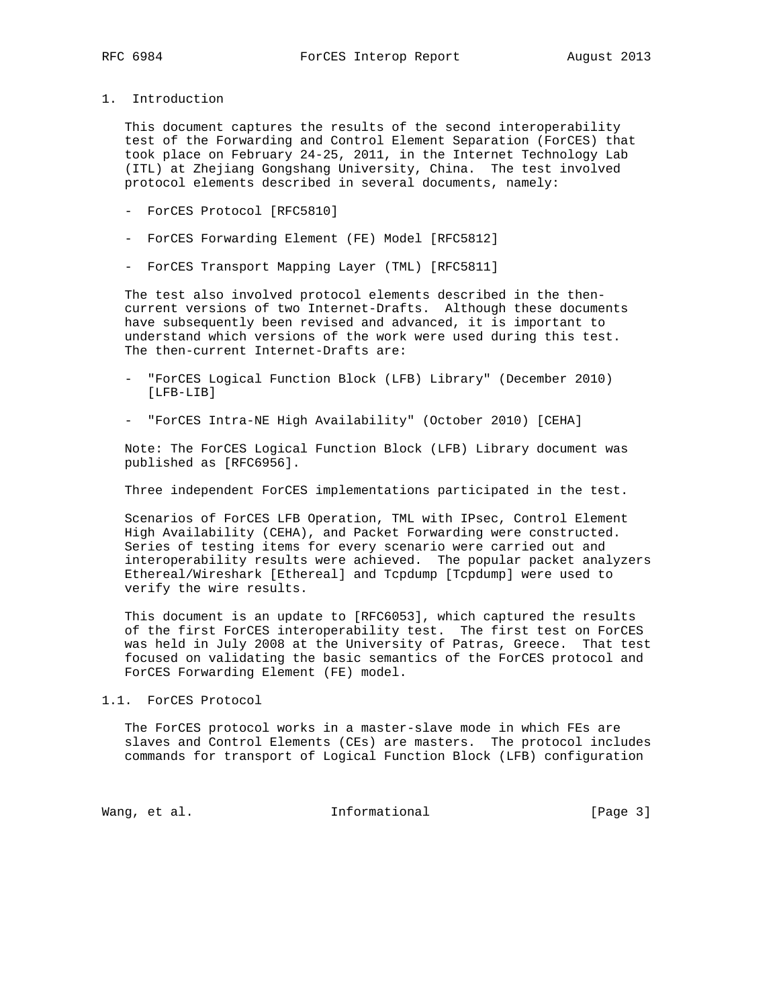1. Introduction

 This document captures the results of the second interoperability test of the Forwarding and Control Element Separation (ForCES) that took place on February 24-25, 2011, in the Internet Technology Lab (ITL) at Zhejiang Gongshang University, China. The test involved protocol elements described in several documents, namely:

- ForCES Protocol [RFC5810]
- ForCES Forwarding Element (FE) Model [RFC5812]
- ForCES Transport Mapping Layer (TML) [RFC5811]

 The test also involved protocol elements described in the then current versions of two Internet-Drafts. Although these documents have subsequently been revised and advanced, it is important to understand which versions of the work were used during this test. The then-current Internet-Drafts are:

- "ForCES Logical Function Block (LFB) Library" (December 2010) [LFB-LIB]
- "ForCES Intra-NE High Availability" (October 2010) [CEHA]

 Note: The ForCES Logical Function Block (LFB) Library document was published as [RFC6956].

Three independent ForCES implementations participated in the test.

 Scenarios of ForCES LFB Operation, TML with IPsec, Control Element High Availability (CEHA), and Packet Forwarding were constructed. Series of testing items for every scenario were carried out and interoperability results were achieved. The popular packet analyzers Ethereal/Wireshark [Ethereal] and Tcpdump [Tcpdump] were used to verify the wire results.

 This document is an update to [RFC6053], which captured the results of the first ForCES interoperability test. The first test on ForCES was held in July 2008 at the University of Patras, Greece. That test focused on validating the basic semantics of the ForCES protocol and ForCES Forwarding Element (FE) model.

1.1. ForCES Protocol

 The ForCES protocol works in a master-slave mode in which FEs are slaves and Control Elements (CEs) are masters. The protocol includes commands for transport of Logical Function Block (LFB) configuration

Wang, et al. 100 and 100 and 111 and 100 and 100 and 100 and 100 and 100 and 100 and 100 and 100 and 100 and 1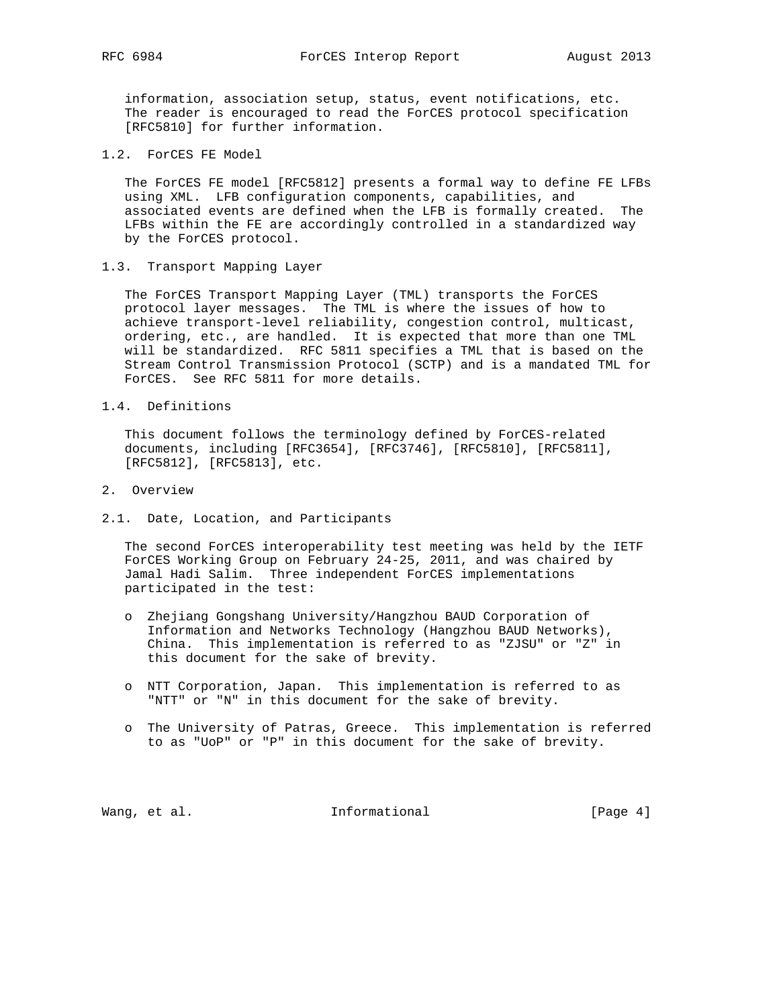information, association setup, status, event notifications, etc. The reader is encouraged to read the ForCES protocol specification [RFC5810] for further information.

1.2. ForCES FE Model

 The ForCES FE model [RFC5812] presents a formal way to define FE LFBs using XML. LFB configuration components, capabilities, and associated events are defined when the LFB is formally created. The LFBs within the FE are accordingly controlled in a standardized way by the ForCES protocol.

1.3. Transport Mapping Layer

 The ForCES Transport Mapping Layer (TML) transports the ForCES protocol layer messages. The TML is where the issues of how to achieve transport-level reliability, congestion control, multicast, ordering, etc., are handled. It is expected that more than one TML will be standardized. RFC 5811 specifies a TML that is based on the Stream Control Transmission Protocol (SCTP) and is a mandated TML for ForCES. See RFC 5811 for more details.

1.4. Definitions

 This document follows the terminology defined by ForCES-related documents, including [RFC3654], [RFC3746], [RFC5810], [RFC5811], [RFC5812], [RFC5813], etc.

- 2. Overview
- 2.1. Date, Location, and Participants

 The second ForCES interoperability test meeting was held by the IETF ForCES Working Group on February 24-25, 2011, and was chaired by Jamal Hadi Salim. Three independent ForCES implementations participated in the test:

- o Zhejiang Gongshang University/Hangzhou BAUD Corporation of Information and Networks Technology (Hangzhou BAUD Networks), China. This implementation is referred to as "ZJSU" or "Z" in this document for the sake of brevity.
- o NTT Corporation, Japan. This implementation is referred to as "NTT" or "N" in this document for the sake of brevity.
- o The University of Patras, Greece. This implementation is referred to as "UoP" or "P" in this document for the sake of brevity.

Wang, et al. The informational the same set of  $[Page 4]$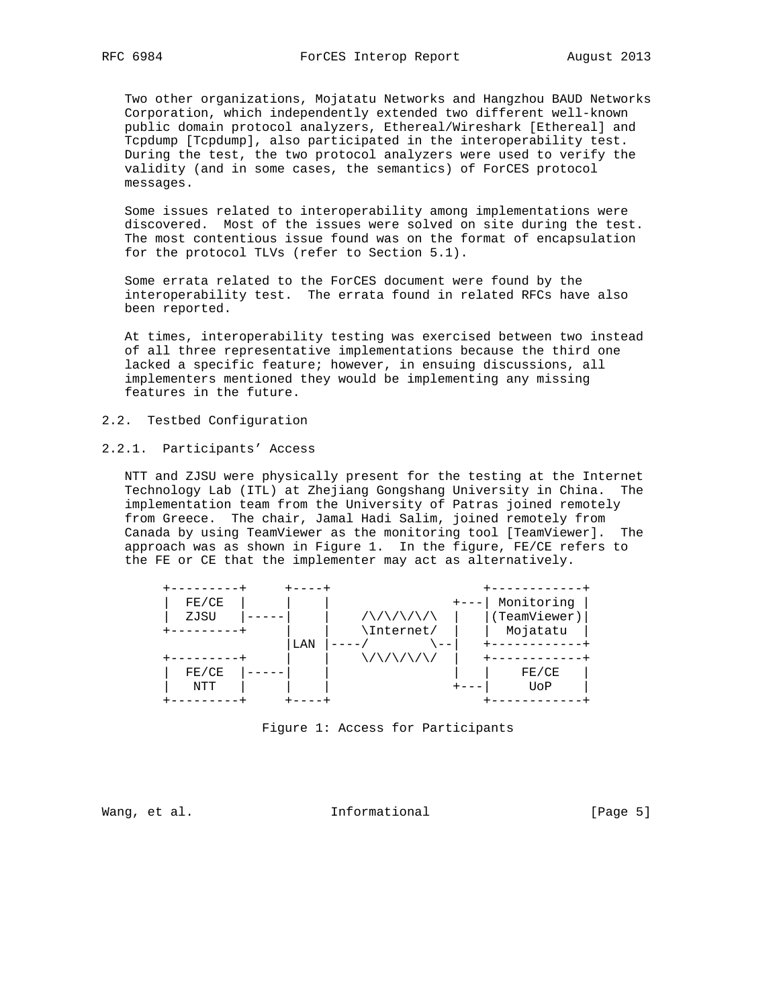Two other organizations, Mojatatu Networks and Hangzhou BAUD Networks Corporation, which independently extended two different well-known public domain protocol analyzers, Ethereal/Wireshark [Ethereal] and Tcpdump [Tcpdump], also participated in the interoperability test. During the test, the two protocol analyzers were used to verify the validity (and in some cases, the semantics) of ForCES protocol messages.

 Some issues related to interoperability among implementations were discovered. Most of the issues were solved on site during the test. The most contentious issue found was on the format of encapsulation for the protocol TLVs (refer to Section 5.1).

 Some errata related to the ForCES document were found by the interoperability test. The errata found in related RFCs have also been reported.

 At times, interoperability testing was exercised between two instead of all three representative implementations because the third one lacked a specific feature; however, in ensuing discussions, all implementers mentioned they would be implementing any missing features in the future.

- 2.2. Testbed Configuration
- 2.2.1. Participants' Access

 NTT and ZJSU were physically present for the testing at the Internet Technology Lab (ITL) at Zhejiang Gongshang University in China. The implementation team from the University of Patras joined remotely from Greece. The chair, Jamal Hadi Salim, joined remotely from Canada by using TeamViewer as the monitoring tool [TeamViewer]. The approach was as shown in Figure 1. In the figure, FE/CE refers to the FE or CE that the implementer may act as alternatively.



Figure 1: Access for Participants

Wang, et al. The Informational The Informational [Page 5]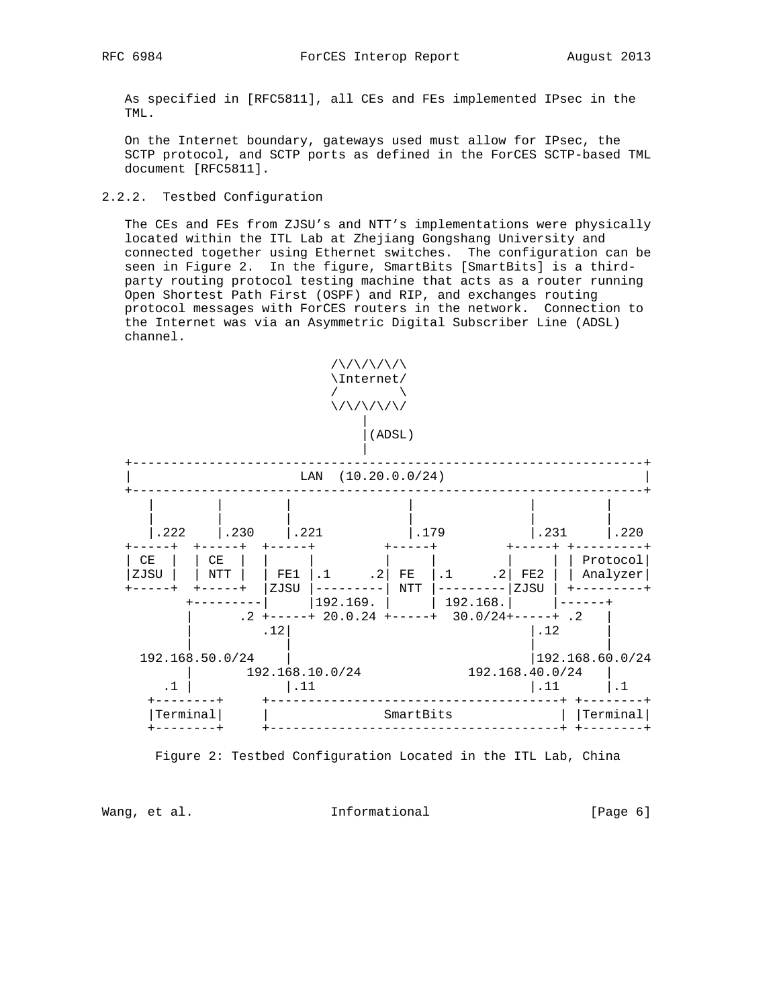As specified in [RFC5811], all CEs and FEs implemented IPsec in the TML.

 On the Internet boundary, gateways used must allow for IPsec, the SCTP protocol, and SCTP ports as defined in the ForCES SCTP-based TML document [RFC5811].

## 2.2.2. Testbed Configuration

 The CEs and FEs from ZJSU's and NTT's implementations were physically located within the ITL Lab at Zhejiang Gongshang University and connected together using Ethernet switches. The configuration can be seen in Figure 2. In the figure, SmartBits [SmartBits] is a third party routing protocol testing machine that acts as a router running Open Shortest Path First (OSPF) and RIP, and exchanges routing protocol messages with ForCES routers in the network. Connection to the Internet was via an Asymmetric Digital Subscriber Line (ADSL) channel.



Figure 2: Testbed Configuration Located in the ITL Lab, China

Wang, et al. The Informational The Informational [Page 6]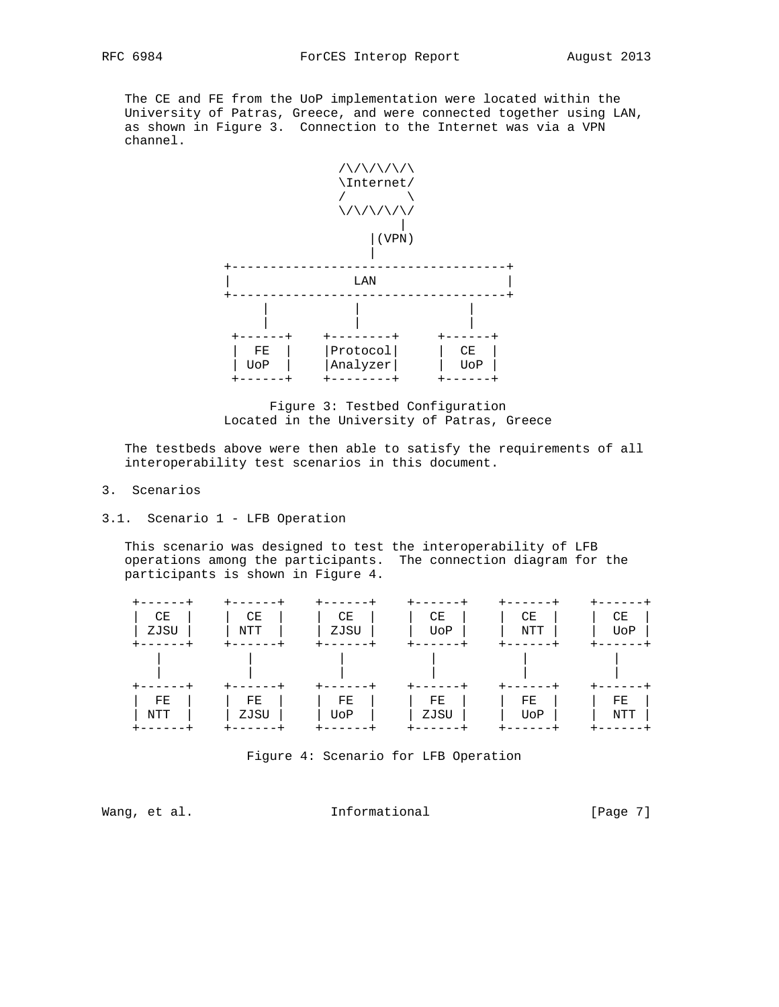The CE and FE from the UoP implementation were located within the University of Patras, Greece, and were connected together using LAN, as shown in Figure 3. Connection to the Internet was via a VPN channel.



 Figure 3: Testbed Configuration Located in the University of Patras, Greece

 The testbeds above were then able to satisfy the requirements of all interoperability test scenarios in this document.

- 3. Scenarios
- 3.1. Scenario 1 LFB Operation

 This scenario was designed to test the interoperability of LFB operations among the participants. The connection diagram for the participants is shown in Figure 4.



Figure 4: Scenario for LFB Operation

Wang, et al. 10. Informational 1. The leage 7]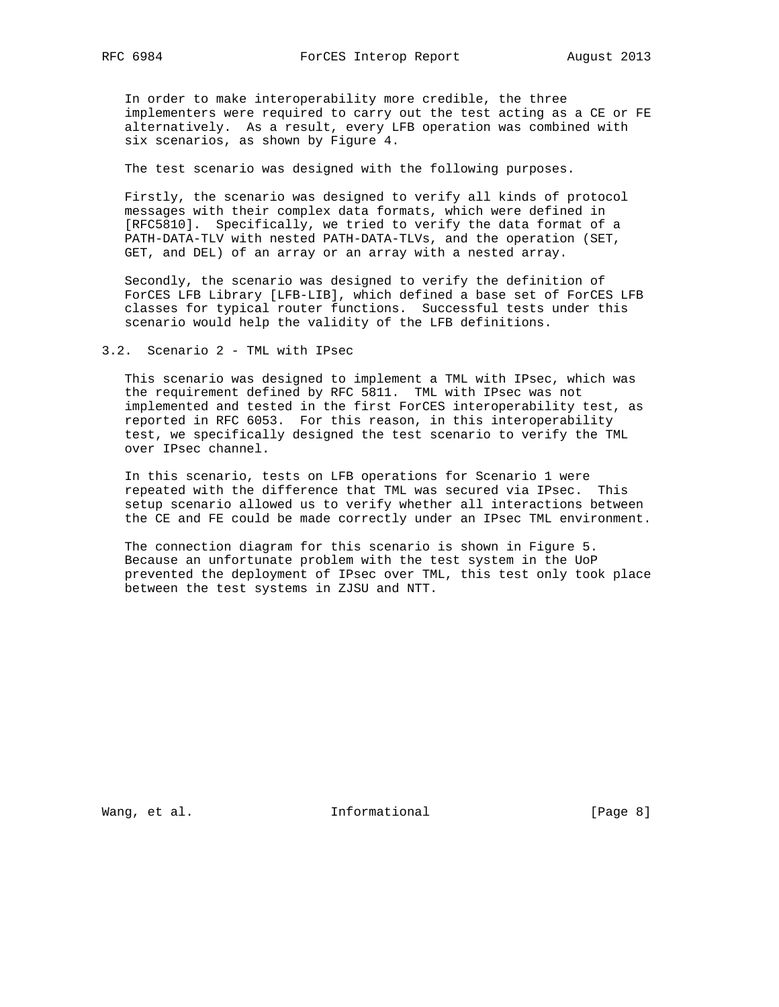In order to make interoperability more credible, the three implementers were required to carry out the test acting as a CE or FE alternatively. As a result, every LFB operation was combined with six scenarios, as shown by Figure 4.

The test scenario was designed with the following purposes.

 Firstly, the scenario was designed to verify all kinds of protocol messages with their complex data formats, which were defined in [RFC5810]. Specifically, we tried to verify the data format of a PATH-DATA-TLV with nested PATH-DATA-TLVs, and the operation (SET, GET, and DEL) of an array or an array with a nested array.

 Secondly, the scenario was designed to verify the definition of ForCES LFB Library [LFB-LIB], which defined a base set of ForCES LFB classes for typical router functions. Successful tests under this scenario would help the validity of the LFB definitions.

## 3.2. Scenario 2 - TML with IPsec

 This scenario was designed to implement a TML with IPsec, which was the requirement defined by RFC 5811. TML with IPsec was not implemented and tested in the first ForCES interoperability test, as reported in RFC 6053. For this reason, in this interoperability test, we specifically designed the test scenario to verify the TML over IPsec channel.

 In this scenario, tests on LFB operations for Scenario 1 were repeated with the difference that TML was secured via IPsec. This setup scenario allowed us to verify whether all interactions between the CE and FE could be made correctly under an IPsec TML environment.

 The connection diagram for this scenario is shown in Figure 5. Because an unfortunate problem with the test system in the UoP prevented the deployment of IPsec over TML, this test only took place between the test systems in ZJSU and NTT.

Wang, et al. 100 and 100 and 111 and 111 and 101 and 101 and 101 and 101 and 101 and 101 and 101 and 101 and 1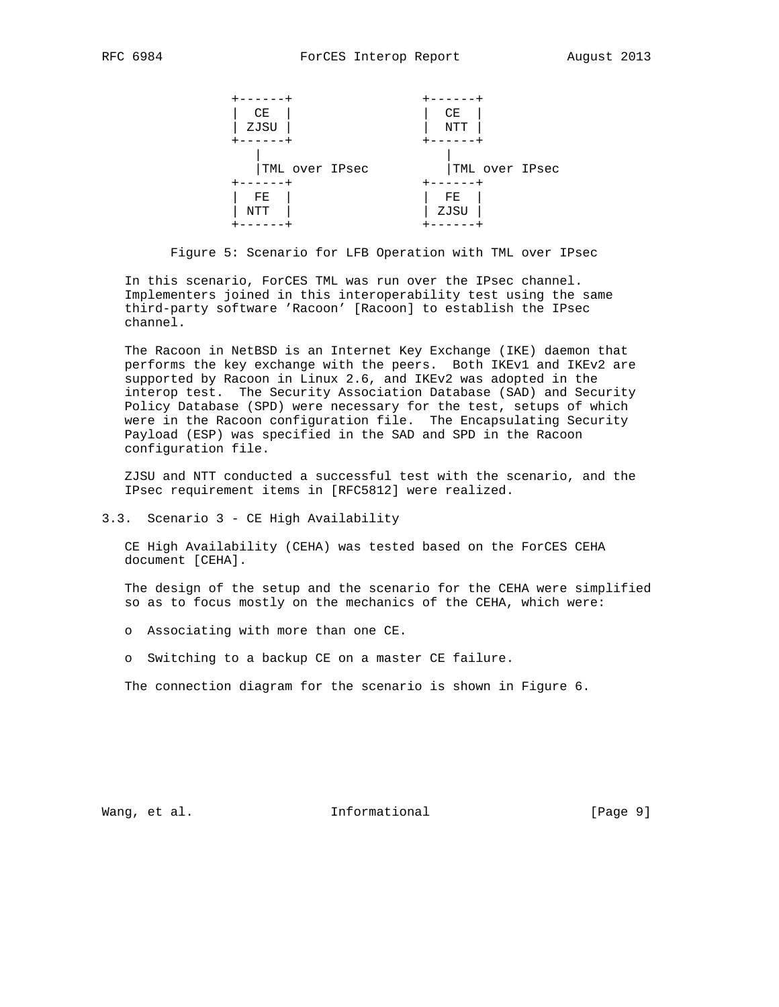

Figure 5: Scenario for LFB Operation with TML over IPsec

 In this scenario, ForCES TML was run over the IPsec channel. Implementers joined in this interoperability test using the same third-party software 'Racoon' [Racoon] to establish the IPsec channel.

 The Racoon in NetBSD is an Internet Key Exchange (IKE) daemon that performs the key exchange with the peers. Both IKEv1 and IKEv2 are supported by Racoon in Linux 2.6, and IKEv2 was adopted in the interop test. The Security Association Database (SAD) and Security Policy Database (SPD) were necessary for the test, setups of which were in the Racoon configuration file. The Encapsulating Security Payload (ESP) was specified in the SAD and SPD in the Racoon configuration file.

 ZJSU and NTT conducted a successful test with the scenario, and the IPsec requirement items in [RFC5812] were realized.

3.3. Scenario 3 - CE High Availability

 CE High Availability (CEHA) was tested based on the ForCES CEHA document [CEHA].

 The design of the setup and the scenario for the CEHA were simplified so as to focus mostly on the mechanics of the CEHA, which were:

- o Associating with more than one CE.
- o Switching to a backup CE on a master CE failure.

The connection diagram for the scenario is shown in Figure 6.

Wang, et al. The Informational The Informational [Page 9]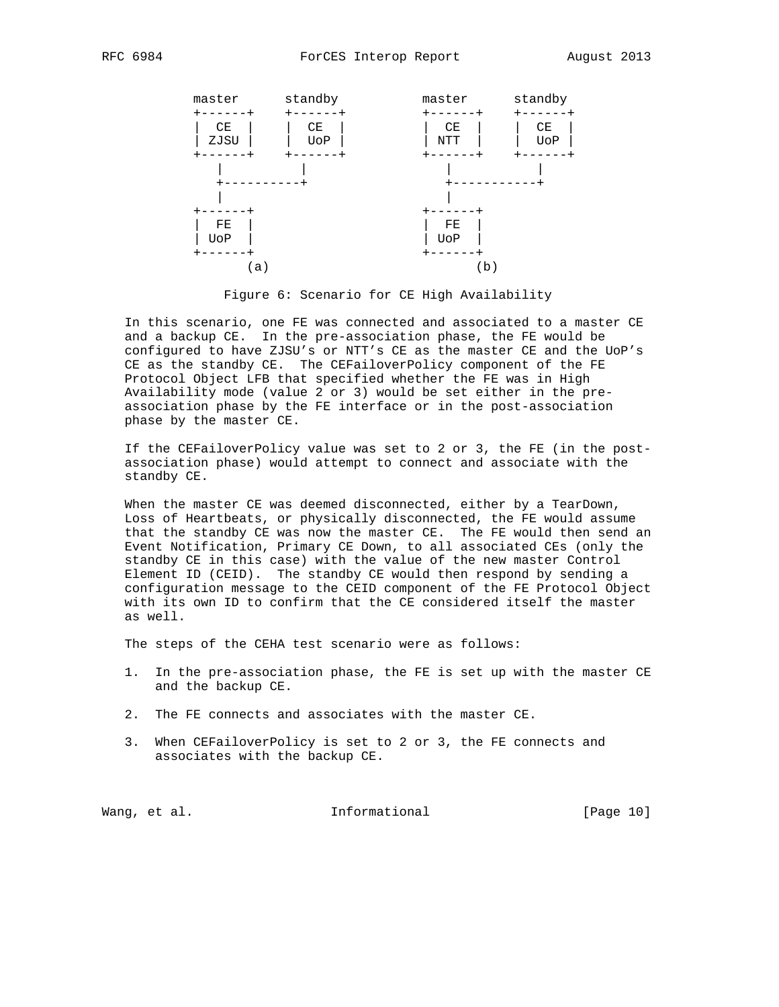

Figure 6: Scenario for CE High Availability

 In this scenario, one FE was connected and associated to a master CE and a backup CE. In the pre-association phase, the FE would be configured to have ZJSU's or NTT's CE as the master CE and the UoP's CE as the standby CE. The CEFailoverPolicy component of the FE Protocol Object LFB that specified whether the FE was in High Availability mode (value 2 or 3) would be set either in the pre association phase by the FE interface or in the post-association phase by the master CE.

 If the CEFailoverPolicy value was set to 2 or 3, the FE (in the post association phase) would attempt to connect and associate with the standby CE.

When the master CE was deemed disconnected, either by a TearDown, Loss of Heartbeats, or physically disconnected, the FE would assume that the standby CE was now the master CE. The FE would then send an Event Notification, Primary CE Down, to all associated CEs (only the standby CE in this case) with the value of the new master Control Element ID (CEID). The standby CE would then respond by sending a configuration message to the CEID component of the FE Protocol Object with its own ID to confirm that the CE considered itself the master as well.

The steps of the CEHA test scenario were as follows:

- 1. In the pre-association phase, the FE is set up with the master CE and the backup CE.
- 2. The FE connects and associates with the master CE.
- 3. When CEFailoverPolicy is set to 2 or 3, the FE connects and associates with the backup CE.

Wang, et al. 1000 and 111 Informational 1000 and 1000 and 1000 and 1000 and 1000 and 1000 and 1000 and 1000 and 1000 and 1000 and 1000 and 1000 and 1000 and 1000 and 1000 and 1000 and 1000 and 1000 and 1000 and 1000 and 10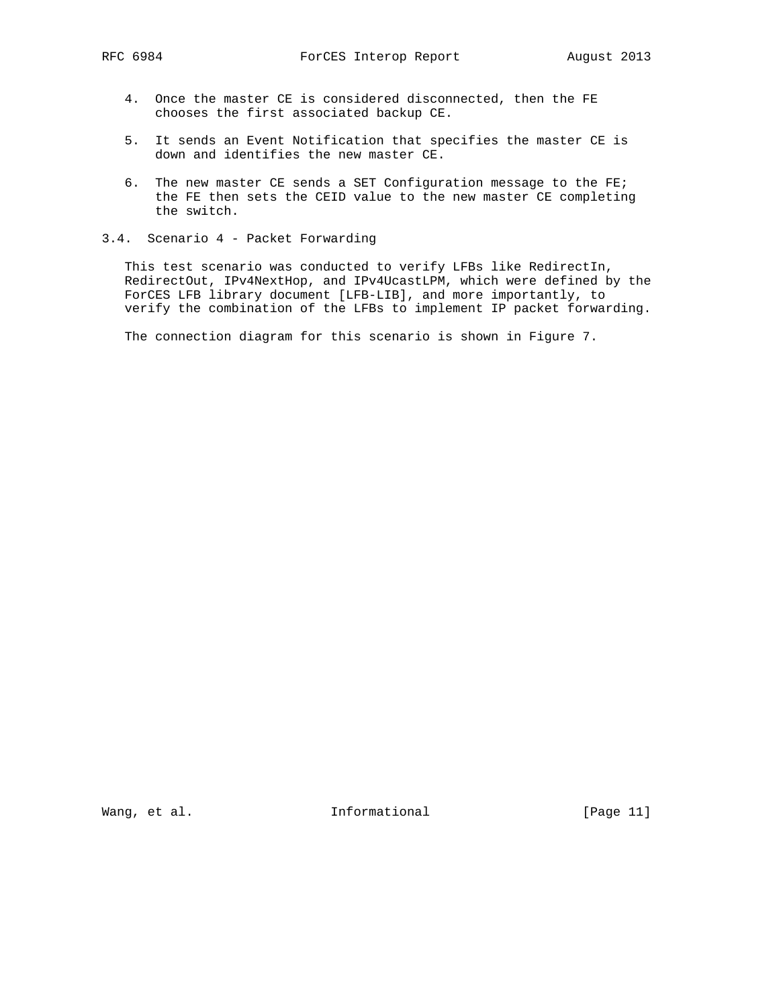- 4. Once the master CE is considered disconnected, then the FE chooses the first associated backup CE.
- 5. It sends an Event Notification that specifies the master CE is down and identifies the new master CE.
- 6. The new master CE sends a SET Configuration message to the FE; the FE then sets the CEID value to the new master CE completing the switch.
- 3.4. Scenario 4 Packet Forwarding

 This test scenario was conducted to verify LFBs like RedirectIn, RedirectOut, IPv4NextHop, and IPv4UcastLPM, which were defined by the ForCES LFB library document [LFB-LIB], and more importantly, to verify the combination of the LFBs to implement IP packet forwarding.

The connection diagram for this scenario is shown in Figure 7.

Wang, et al. 10. Informational 1. [Page 11]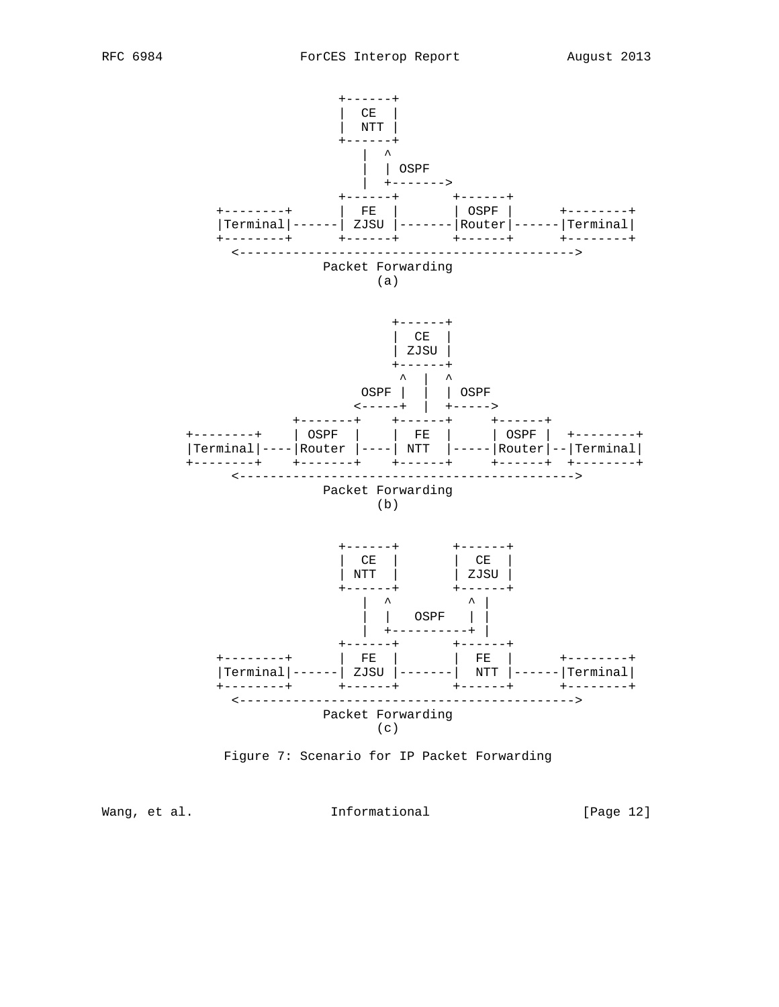



Wang, et al. 100 and 111 Informational 100 and 12 [Page 12]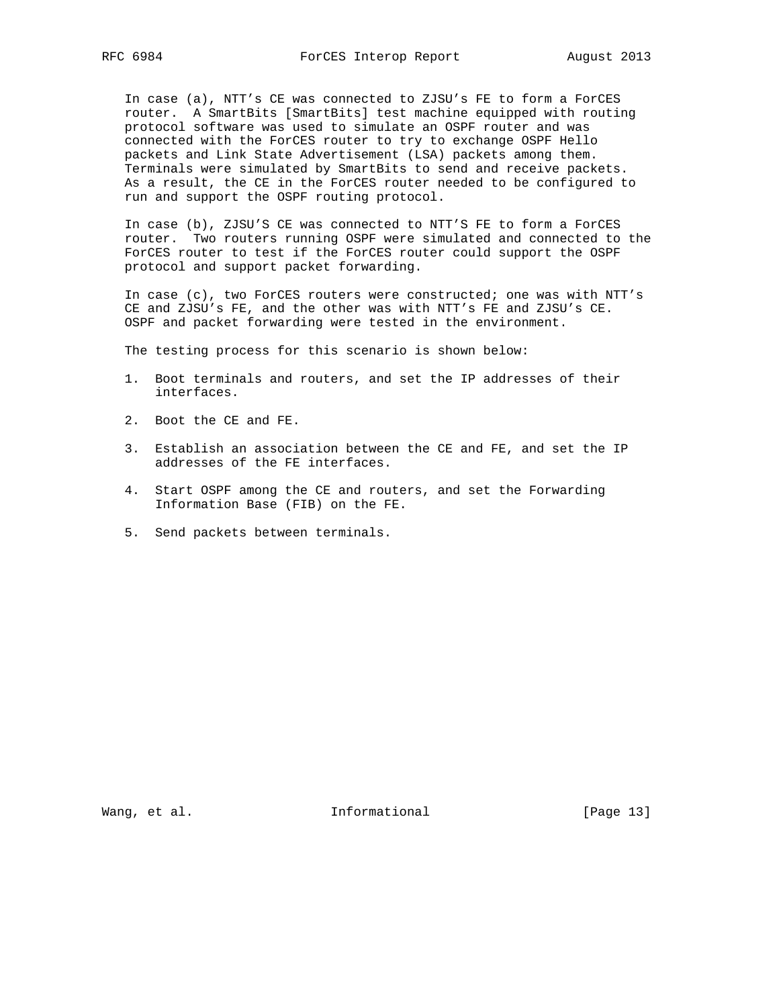In case (a), NTT's CE was connected to ZJSU's FE to form a ForCES router. A SmartBits [SmartBits] test machine equipped with routing protocol software was used to simulate an OSPF router and was connected with the ForCES router to try to exchange OSPF Hello packets and Link State Advertisement (LSA) packets among them. Terminals were simulated by SmartBits to send and receive packets. As a result, the CE in the ForCES router needed to be configured to run and support the OSPF routing protocol.

 In case (b), ZJSU'S CE was connected to NTT'S FE to form a ForCES router. Two routers running OSPF were simulated and connected to the ForCES router to test if the ForCES router could support the OSPF protocol and support packet forwarding.

 In case (c), two ForCES routers were constructed; one was with NTT's CE and ZJSU's FE, and the other was with NTT's FE and ZJSU's CE. OSPF and packet forwarding were tested in the environment.

The testing process for this scenario is shown below:

- 1. Boot terminals and routers, and set the IP addresses of their interfaces.
- 2. Boot the CE and FE.
- 3. Establish an association between the CE and FE, and set the IP addresses of the FE interfaces.
- 4. Start OSPF among the CE and routers, and set the Forwarding Information Base (FIB) on the FE.
- 5. Send packets between terminals.

Wang, et al. 10. Informational 1. [Page 13]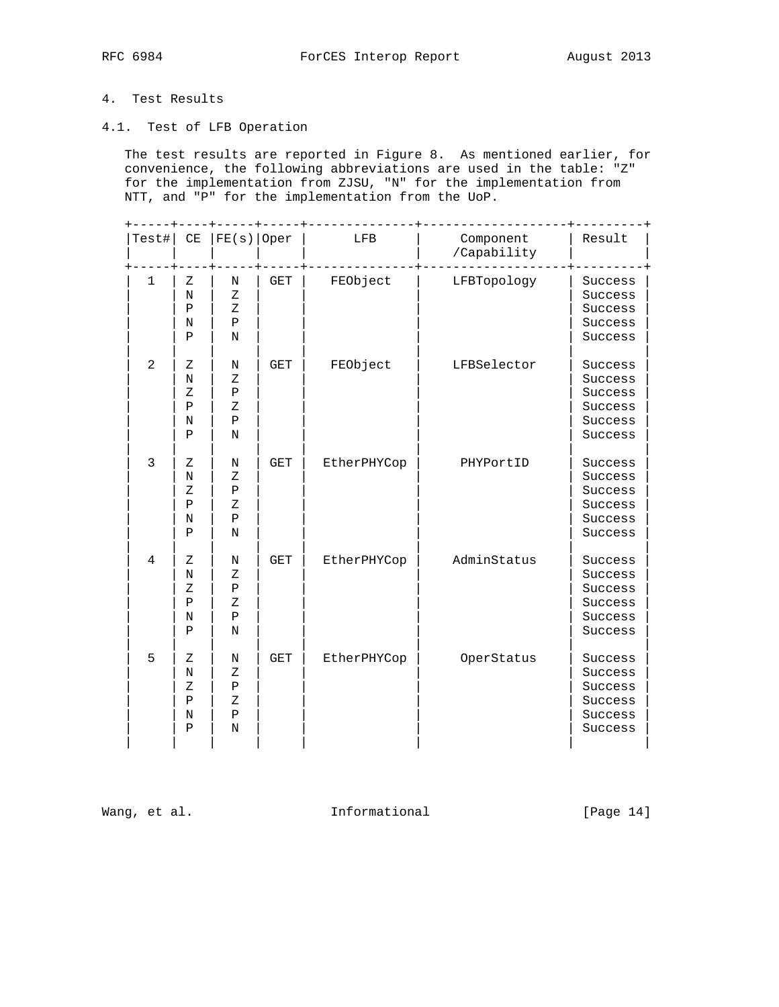# 4. Test Results

4.1. Test of LFB Operation

 The test results are reported in Figure 8. As mentioned earlier, for convenience, the following abbreviations are used in the table: "Z" for the implementation from ZJSU, "N" for the implementation from NTT, and "P" for the implementation from the UoP.

| $Test$ #       | CE                                                           | $FE(s)  $ Oper                                          |            | LFB         | Component<br>/Capability | Result                                                         |
|----------------|--------------------------------------------------------------|---------------------------------------------------------|------------|-------------|--------------------------|----------------------------------------------------------------|
| $\mathbf{1}$   | Ζ<br>N<br>$\, {\bf P}$<br>$\rm N$<br>$\mathbf P$             | $\rm N$<br>Z<br>$\mathbf{Z}$<br>$\, {\bf P}$<br>N       | <b>GET</b> | FEObject    | LFBTopology              | Success<br>Success<br>Success<br>Success<br>Success            |
| $\overline{2}$ | Ζ<br>N<br>$\rm{Z}$<br>$\, {\bf P}$<br>N<br>$\, {\bf P}$      | N<br>Ζ<br>$\, {\bf P}$<br>Ζ<br>$\mathbf P$<br>N         | <b>GET</b> | FEObject    | LFBSelector              | Success<br>Success<br>Success<br>Success<br>Success<br>Success |
| 3              | Ζ<br>N<br>Ζ<br>$\mathbf P$<br>N<br>$\mathbf P$               | N<br>Ζ<br>$\mathbf P$<br>Ζ<br>$\, {\bf P}$<br>N         | <b>GET</b> | EtherPHYCop | PHYPortID                | Success<br>Success<br>Success<br>Success<br>Success<br>Success |
| $\overline{4}$ | Ζ<br>N<br>$\rm{Z}$<br>$\, {\bf P}$<br>N<br>$\mathbf P$       | N<br>Ζ<br>$\, {\bf P}$<br>Ζ<br>$\, {\bf P}$<br>N        | <b>GET</b> | EtherPHYCop | AdminStatus              | Success<br>Success<br>Success<br>Success<br>Success<br>Success |
| 5              | Ζ<br>$\rm N$<br>$\rm{Z}$<br>$\, {\bf P}$<br>N<br>$\mathbf P$ | N<br>$\rm{Z}$<br>$\, {\bf P}$<br>Ζ<br>$\, {\bf P}$<br>N | <b>GET</b> | EtherPHYCop | OperStatus               | Success<br>Success<br>Success<br>Success<br>Success<br>Success |

Wang, et al. 10. Informational 1. [Page 14]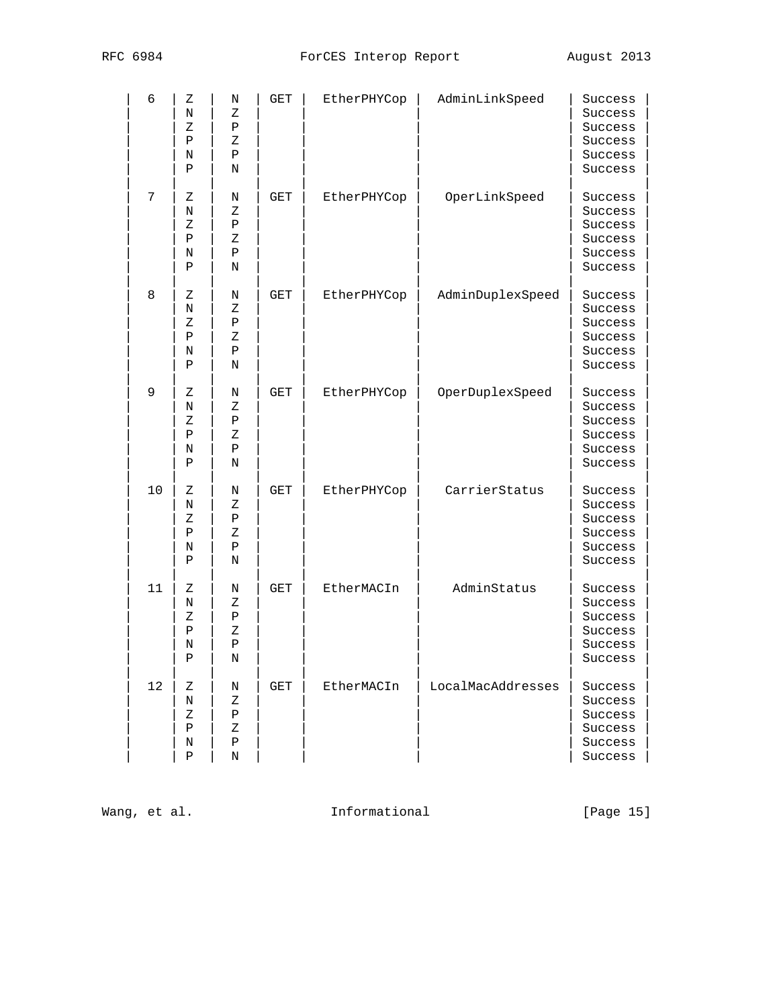| 6  | Ζ<br>N<br>Ζ<br>Ρ<br>Ν<br>Ρ                  | Ν<br>Ζ<br>Ρ<br>Ζ<br>Ρ<br>N            | GET        | EtherPHYCop | AdminLinkSpeed    | Success<br>Success<br>Success<br>Success<br>Success<br>Success |
|----|---------------------------------------------|---------------------------------------|------------|-------------|-------------------|----------------------------------------------------------------|
| 7  | Ζ<br>Ν<br>Ζ<br>Ρ<br>Ν<br>Ρ                  | Ν<br>Ζ<br>Ρ<br>Ζ<br>Ρ<br>N            | <b>GET</b> | EtherPHYCop | OperLinkSpeed     | Success<br>Success<br>Success<br>Success<br>Success<br>Success |
| 8  | Ζ<br>Ν<br>Ζ<br>Ρ<br>Ν<br>Ρ                  | Ν<br>Ζ<br>Ρ<br>Ζ<br>$\, {\bf P}$<br>N | GET        | EtherPHYCop | AdminDuplexSpeed  | Success<br>Success<br>Success<br>Success<br>Success<br>Success |
| 9  | Ζ<br>N<br>Ζ<br>$\, {\bf P}$<br>N<br>Ρ       | Ν<br>Ζ<br>Ρ<br>Ζ<br>$\, {\bf P}$<br>Ν | GET        | EtherPHYCop | OperDuplexSpeed   | Success<br>Success<br>Success<br>Success<br>Success<br>Success |
| 10 | Ζ<br>Ν<br>Ζ<br>Ρ<br>Ν<br>Ρ                  | Ν<br>Ζ<br>Ρ<br>Ζ<br>Ρ<br>Ν            | GET        | EtherPHYCop | CarrierStatus     | Success<br>Success<br>Success<br>Success<br>Success<br>Success |
| 11 | Ζ<br>N<br>Ζ<br>Ρ<br>Ν<br>P                  | Ν<br>Ζ<br>$\, {\bf P}$<br>Ζ<br>Ρ<br>N | GET        | EtherMACIn  | AdminStatus       | Success<br>Success<br>Success<br>Success<br>Success<br>Success |
| 12 | Ζ<br>$\rm N$<br>Ζ<br>$\, {\bf P}$<br>N<br>Ρ | N<br>Ζ<br>Ρ<br>Ζ<br>${\tt P}$<br>N    | GET        | EtherMACIn  | LocalMacAddresses | Success<br>Success<br>Success<br>Success<br>Success<br>Success |

Wang, et al. 10 1nformational 11 [Page 15]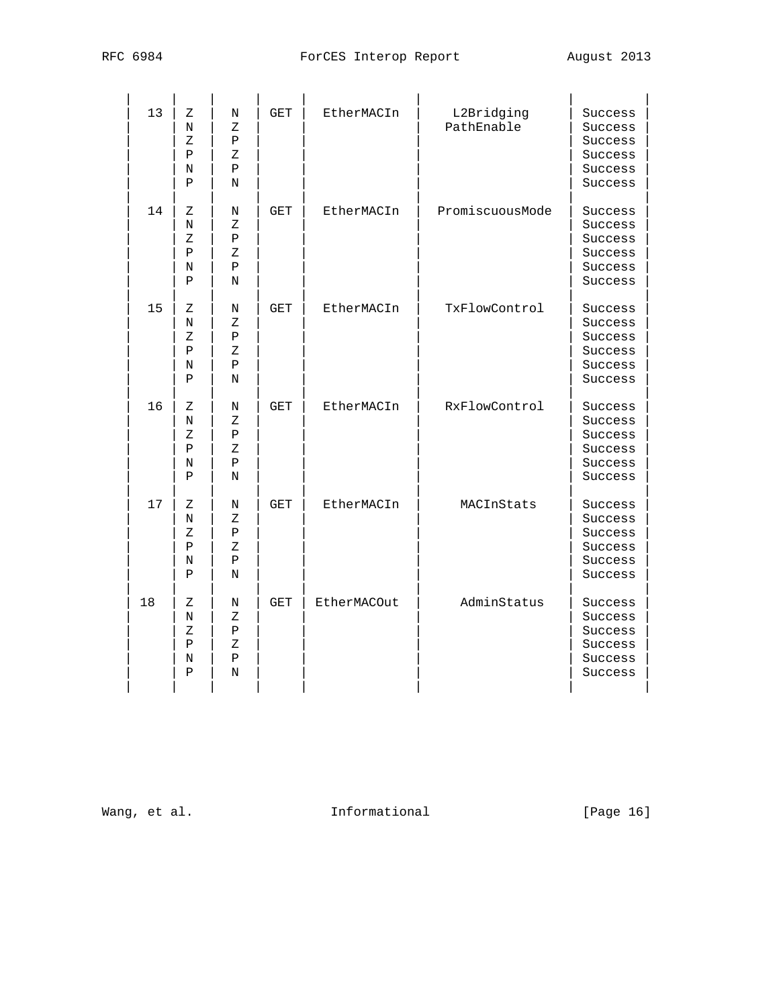| RFC 6984 |                       | August 2013 |  |
|----------|-----------------------|-------------|--|
|          | ForCES Interop Report |             |  |

| 13 | Ζ<br>N<br>Ζ<br>Ρ<br>N<br>P                  | N<br>Ζ<br>Ρ<br>Ζ<br>Ρ<br>N | <b>GET</b> | EtherMACIn  | L2Bridging<br>PathEnable | Success<br>Success<br>Success<br>Success<br>Success<br>Success |
|----|---------------------------------------------|----------------------------|------------|-------------|--------------------------|----------------------------------------------------------------|
| 14 | Ζ<br>N<br>Ζ<br>$\mathbf{P}$<br>N<br>$\rm P$ | Ν<br>Ζ<br>Ρ<br>Ζ<br>Ρ<br>N | GET        | EtherMACIn  | PromiscuousMode          | Success<br>Success<br>Success<br>Success<br>Success<br>Success |
| 15 | Ζ<br>N<br>Ζ<br>Ρ<br>N<br>P                  | Ν<br>Ζ<br>Ρ<br>Ζ<br>Ρ<br>N | GET        | EtherMACIn  | TxFlowControl            | Success<br>Success<br>Success<br>Success<br>Success<br>Success |
| 16 | Ζ<br>N<br>Ζ<br>$\rm P$<br>Ν<br>Ρ            | Ν<br>Ζ<br>Ρ<br>Ζ<br>Ρ<br>N | <b>GET</b> | EtherMACIn  | RxFlowControl            | Success<br>Success<br>Success<br>Success<br>Success<br>Success |
| 17 | Ζ<br>N<br>Ζ<br>P<br>N<br>$\mathbf{P}$       | Ν<br>Ζ<br>Ρ<br>Ζ<br>Ρ<br>N | <b>GET</b> | EtherMACIn  | MACInStats               | Success<br>Success<br>Success<br>Success<br>Success<br>Success |
| 18 | Ζ<br>N<br>Ζ<br>Ρ<br>N<br>Ρ                  | Ν<br>Ζ<br>Ρ<br>Ζ<br>Ρ<br>N | GET        | EtherMACOut | AdminStatus              | Success<br>Success<br>Success<br>Success<br>Success<br>Success |

Wang, et al. The Informational Formational [Page 16]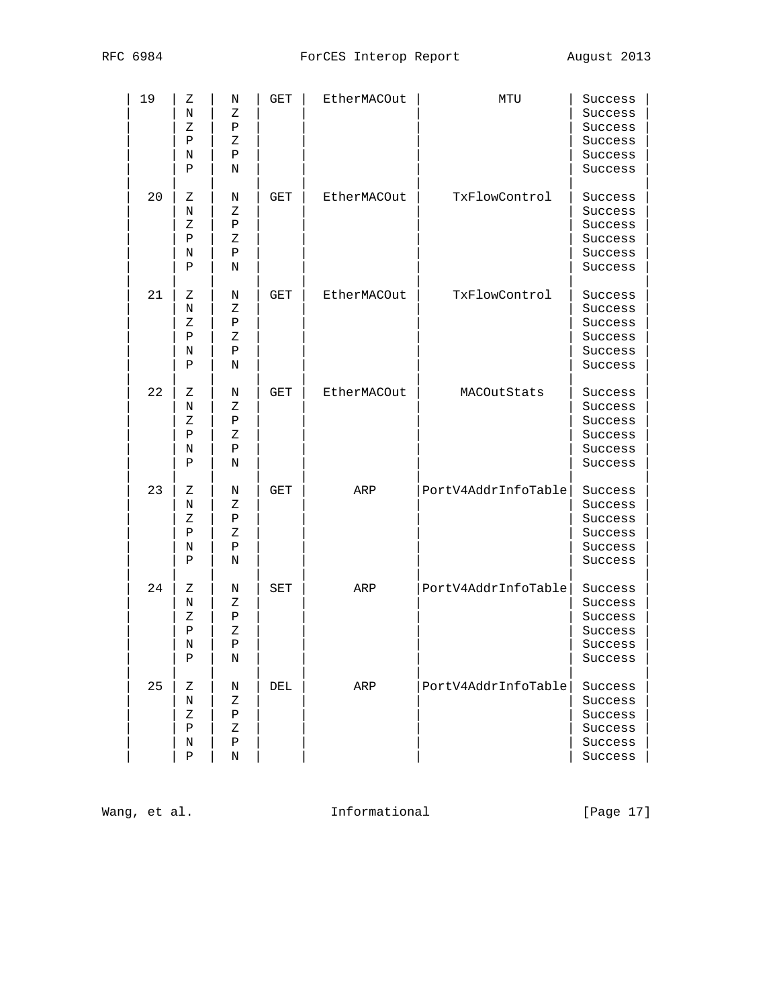| 19 | Ζ<br>Ν<br>Ζ<br>Ρ<br>Ν<br>Ρ            | Ν<br>Ζ<br>$\, {\bf P}$<br>Ζ<br>Ρ<br>Ν | GET        | EtherMACOut | MTU                 | Success<br>Success<br>Success<br>Success<br>Success<br>Success |
|----|---------------------------------------|---------------------------------------|------------|-------------|---------------------|----------------------------------------------------------------|
| 20 | Ζ<br>Ν<br>Ζ<br>Ρ<br>Ν<br>Ρ            | Ν<br>Ζ<br>Ρ<br>Ζ<br>Ρ<br>N            | GET        | EtherMACOut | TxFlowControl       | Success<br>Success<br>Success<br>Success<br>Success<br>Success |
| 21 | Ζ<br>Ν<br>Ζ<br>Ρ<br>Ν<br>$\, {\bf P}$ | Ν<br>Ζ<br>$\, {\bf P}$<br>Ζ<br>Ρ<br>Ν | GET        | EtherMACOut | TxFlowControl       | Success<br>Success<br>Success<br>Success<br>Success<br>Success |
| 22 | Ζ<br>Ν<br>Ζ<br>$\, {\bf P}$<br>Ν<br>P | Ν<br>Ζ<br>Ρ<br>Ζ<br>$\, {\bf P}$<br>Ν | GET        | EtherMACOut | MACOutStats         | Success<br>Success<br>Success<br>Success<br>Success<br>Success |
| 23 | Ζ<br>Ν<br>Ζ<br>$\, {\bf P}$<br>Ν<br>Ρ | Ν<br>Ζ<br>Ρ<br>Ζ<br>Ρ<br>Ν            | <b>GET</b> | ARP         | PortV4AddrInfoTable | Success<br>Success<br>Success<br>Success<br>Success<br>Success |
| 24 | Ζ<br>Ν<br>Ζ<br>$\, {\bf P}$<br>Ν<br>Ρ | Ν<br>Ζ<br>Ρ<br>Ζ<br>Ρ<br>N            | SET        | ARP         | PortV4AddrInfoTable | Success<br>Success<br>Success<br>Success<br>Success<br>Success |
| 25 | Ζ<br>N<br>Ζ<br>Ρ<br>Ν<br>Ρ            | Ν<br>Ζ<br>$\, {\bf P}$<br>Ζ<br>Ρ<br>Ν | DEL        | ARP         | PortV4AddrInfoTable | Success<br>Success<br>Success<br>Success<br>Success<br>Success |

Wang, et al. 1nformational 1999 [Page 17]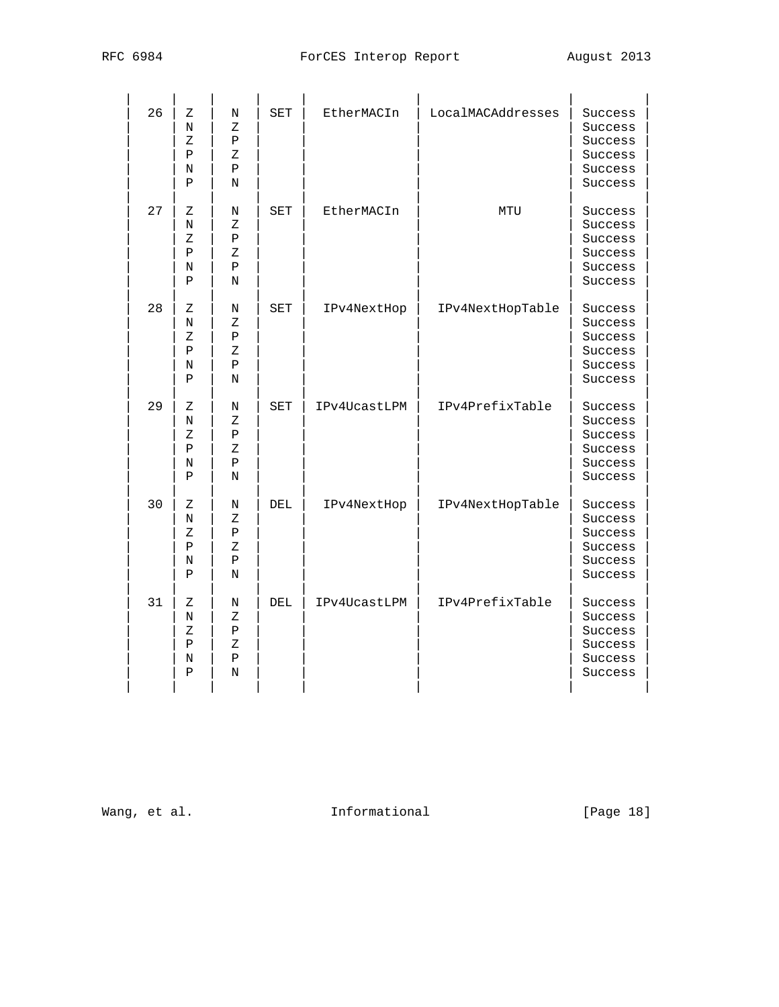| 26 | Ζ<br>N<br>Ζ<br>$\rm P$<br>Ν<br>Ρ        | N<br>Ζ<br>Ρ<br>Ζ<br>Ρ<br>N        | <b>SET</b> | EtherMACIn   | LocalMACAddresses | Success<br>Success<br>Success<br>Success<br>Success<br>Success |
|----|-----------------------------------------|-----------------------------------|------------|--------------|-------------------|----------------------------------------------------------------|
| 27 | Ζ<br>N<br>Ζ<br>Ρ<br>N<br>P              | Ν<br>Ζ<br>Ρ<br>$\rm{Z}$<br>Ρ<br>N | SET        | EtherMACIn   | MTU               | Success<br>Success<br>Success<br>Success<br>Success<br>Success |
| 28 | Ζ<br>N<br>$\rm{Z}$<br>$\rm P$<br>N<br>Ρ | Ν<br>Ζ<br>Ρ<br>Ζ<br>Ρ<br>N        | SET        | IPv4NextHop  | IPv4NextHopTable  | Success<br>Success<br>Success<br>Success<br>Success<br>Success |
| 29 | Ζ<br>N<br>Ζ<br>Ρ<br>Ν<br>Ρ              | Ν<br>Ζ<br>Ρ<br>Ζ<br>Ρ<br>N        | SET        | IPv4UcastLPM | IPv4PrefixTable   | Success<br>Success<br>Success<br>Success<br>Success<br>Success |
| 30 | Ζ<br>N<br>Ζ<br>Ρ<br>Ν<br>Ρ              | Ν<br>Ζ<br>Ρ<br>Ζ<br>Ρ<br>N        | DEL        | IPv4NextHop  | IPv4NextHopTable  | Success<br>Success<br>Success<br>Success<br>Success<br>Success |
| 31 | Ζ<br>N<br>Ζ<br>Ρ<br>N<br>P              | Ν<br>Ζ<br>Ρ<br>Ζ<br>Ρ<br>N        | DEL        | IPv4UcastLPM | IPv4PrefixTable   | Success<br>Success<br>Success<br>Success<br>Success<br>Success |

Wang, et al. The Informational Formational [Page 18]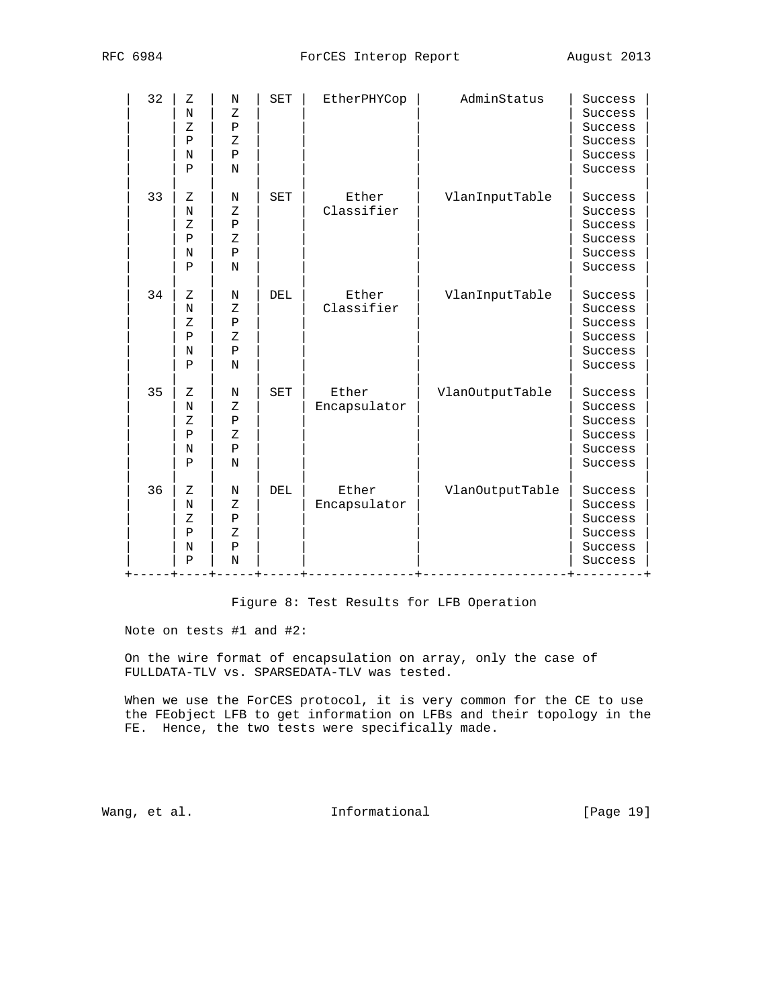| 32 | Z<br>N<br>Ζ<br>$\rm P$<br>N<br>$\mathbf{P}$                 | N<br>$\mathbf{Z}$<br>Ρ<br>Ζ<br>$\mathbf P$<br>N             | <b>SET</b> | EtherPHYCop           | AdminStatus     | Success<br>Success<br>Success<br>Success<br>Success<br>Success |
|----|-------------------------------------------------------------|-------------------------------------------------------------|------------|-----------------------|-----------------|----------------------------------------------------------------|
| 33 | Z<br>N<br>Ζ<br>$\mathbf P$<br>N<br>$\mathbf{P}$             | N<br>Ζ<br>$\, {\bf P}$<br>$\mathbf{Z}$<br>$\, {\bf P}$<br>N | <b>SET</b> | Ether<br>Classifier   | VlanInputTable  | Success<br>Success<br>Success<br>Success<br>Success<br>Success |
| 34 | $\mathbf{Z}$<br>N<br>Ζ<br>$\mathbf{P}$<br>N<br>$\mathbf{P}$ | N<br>Ζ<br>P<br>Ζ<br>$\mathbf P$<br>N                        | DEL        | Ether<br>Classifier   | VlanInputTable  | Success<br>Success<br>Success<br>Success<br>Success<br>Success |
| 35 | Ζ<br>N<br>Ζ<br>P<br>N<br>$\mathbf{P}$                       | N<br>Ζ<br>Ρ<br>Ζ<br>$\, {\bf P}$<br>N                       | SET        | Ether<br>Encapsulator | VlanOutputTable | Success<br>Success<br>Success<br>Success<br>Success<br>Success |
| 36 | Ζ<br>N<br>Ζ<br>P<br>N<br>$\mathbf{P}$                       | N<br>Ζ<br>$\, {\bf P}$<br>Ζ<br>Ρ<br>N                       | DEL        | Ether<br>Encapsulator | VlanOutputTable | Success<br>Success<br>Success<br>Success<br>Success<br>Success |

Figure 8: Test Results for LFB Operation

Note on tests #1 and #2:

 On the wire format of encapsulation on array, only the case of FULLDATA-TLV vs. SPARSEDATA-TLV was tested.

When we use the ForCES protocol, it is very common for the CE to use the FEobject LFB to get information on LFBs and their topology in the FE. Hence, the two tests were specifically made.

Wang, et al. 10. Informational 1. [Page 19]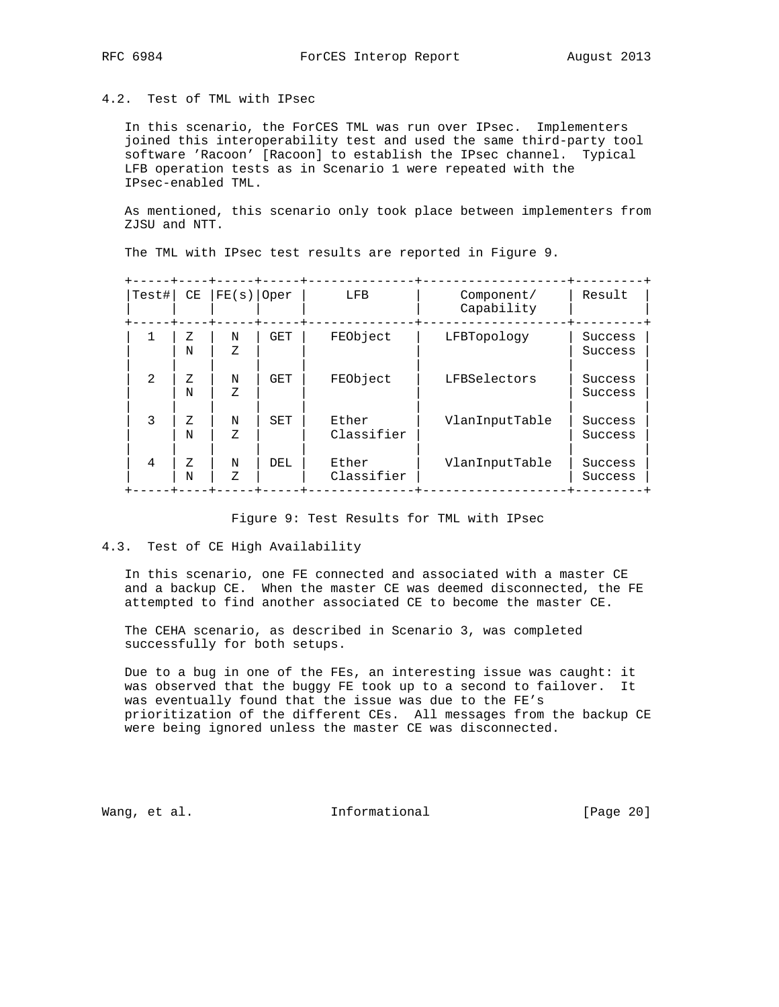## 4.2. Test of TML with IPsec

 In this scenario, the ForCES TML was run over IPsec. Implementers joined this interoperability test and used the same third-party tool software 'Racoon' [Racoon] to establish the IPsec channel. Typical LFB operation tests as in Scenario 1 were repeated with the IPsec-enabled TML.

 As mentioned, this scenario only took place between implementers from ZJSU and NTT.

| Test#          | CE     | FE(S)   | Oper       | LFB                 | Component/<br>Capability | Result             |
|----------------|--------|---------|------------|---------------------|--------------------------|--------------------|
|                | Ζ<br>N | N<br>Ζ  | <b>GET</b> | FEObject            | LFBTopology              | Success<br>Success |
| $\overline{2}$ | Z<br>N | N<br>Ζ  | <b>GET</b> | FEObject            | LFBSelectors             | Success<br>Success |
| 3              | Ζ<br>N | N<br>7. | SET        | Ether<br>Classifier | VlanInputTable           | Success<br>Success |
| 4              | Ζ<br>N | N<br>Ζ  | DEL        | Ether<br>Classifier | VlanInputTable           | Success<br>Success |
|                |        |         |            |                     |                          |                    |

The TML with IPsec test results are reported in Figure 9.

#### Figure 9: Test Results for TML with IPsec

## 4.3. Test of CE High Availability

 In this scenario, one FE connected and associated with a master CE and a backup CE. When the master CE was deemed disconnected, the FE attempted to find another associated CE to become the master CE.

 The CEHA scenario, as described in Scenario 3, was completed successfully for both setups.

 Due to a bug in one of the FEs, an interesting issue was caught: it was observed that the buggy FE took up to a second to failover. It was eventually found that the issue was due to the FE's prioritization of the different CEs. All messages from the backup CE were being ignored unless the master CE was disconnected.

Wang, et al. 1000 and 111 Informational 1000 and 1000 and 1000 and 1000 and 1000 and 1000 and 1000 and 1000 and 1000 and 1000 and 1000 and 1000 and 1000 and 1000 and 1000 and 1000 and 1000 and 1000 and 1000 and 1000 and 10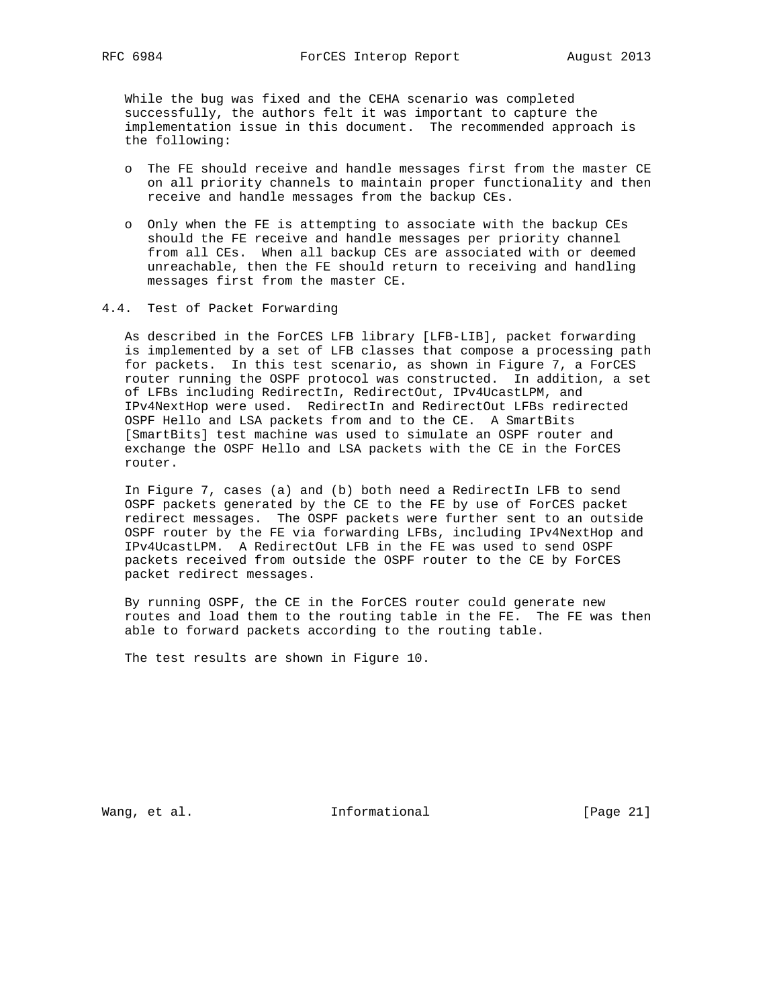While the bug was fixed and the CEHA scenario was completed successfully, the authors felt it was important to capture the implementation issue in this document. The recommended approach is the following:

- o The FE should receive and handle messages first from the master CE on all priority channels to maintain proper functionality and then receive and handle messages from the backup CEs.
- o Only when the FE is attempting to associate with the backup CEs should the FE receive and handle messages per priority channel from all CEs. When all backup CEs are associated with or deemed unreachable, then the FE should return to receiving and handling messages first from the master CE.
- 4.4. Test of Packet Forwarding

 As described in the ForCES LFB library [LFB-LIB], packet forwarding is implemented by a set of LFB classes that compose a processing path for packets. In this test scenario, as shown in Figure 7, a ForCES router running the OSPF protocol was constructed. In addition, a set of LFBs including RedirectIn, RedirectOut, IPv4UcastLPM, and IPv4NextHop were used. RedirectIn and RedirectOut LFBs redirected OSPF Hello and LSA packets from and to the CE. A SmartBits [SmartBits] test machine was used to simulate an OSPF router and exchange the OSPF Hello and LSA packets with the CE in the ForCES router.

 In Figure 7, cases (a) and (b) both need a RedirectIn LFB to send OSPF packets generated by the CE to the FE by use of ForCES packet redirect messages. The OSPF packets were further sent to an outside OSPF router by the FE via forwarding LFBs, including IPv4NextHop and IPv4UcastLPM. A RedirectOut LFB in the FE was used to send OSPF packets received from outside the OSPF router to the CE by ForCES packet redirect messages.

 By running OSPF, the CE in the ForCES router could generate new routes and load them to the routing table in the FE. The FE was then able to forward packets according to the routing table.

The test results are shown in Figure 10.

Wang, et al. The Informational The Informational [Page 21]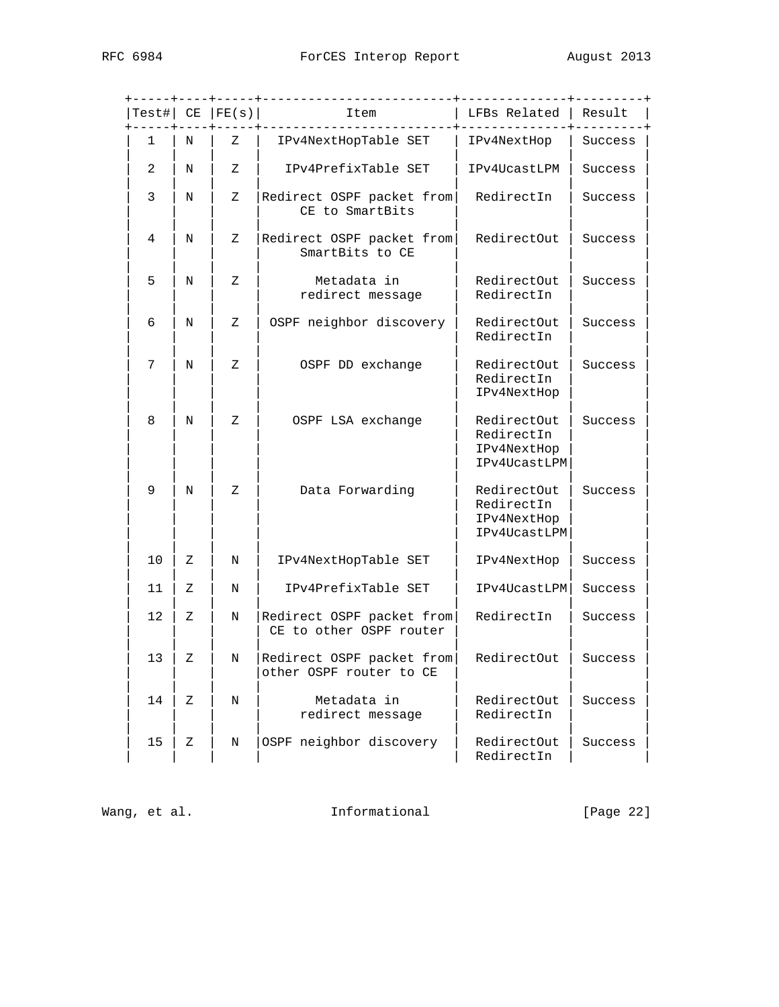|    |   | Test#  CE   FE(s) | Item                                                 | LFBs Related                                             | Result  |
|----|---|-------------------|------------------------------------------------------|----------------------------------------------------------|---------|
| 1  | N | Ζ                 | IPv4NextHopTable SET                                 | IPv4NextHop                                              | Success |
| 2  | N | Ζ                 | IPv4PrefixTable SET                                  | IPv4UcastLPM                                             | Success |
| 3  | Ν | Ζ                 | Redirect OSPF packet from<br>CE to SmartBits         | RedirectIn                                               | Success |
| 4  | N | Ζ                 | Redirect OSPF packet from<br>SmartBits to CE         | RedirectOut                                              | Success |
| 5  | N | Ζ                 | Metadata in<br>redirect message                      | RedirectOut<br>RedirectIn                                | Success |
| 6  | N | Ζ                 | OSPF neighbor discovery                              | RedirectOut<br>RedirectIn                                | Success |
| 7  | N | Ζ                 | OSPF DD exchange                                     | RedirectOut<br>RedirectIn<br>IPv4NextHop                 | Success |
| 8  | Ν | Ζ                 | OSPF LSA exchange                                    | RedirectOut<br>RedirectIn<br>IPv4NextHop<br>IPv4UcastLPM | Success |
| 9  | N | Ζ                 | Data Forwarding                                      | RedirectOut<br>RedirectIn<br>IPv4NextHop<br>IPv4UcastLPM | Success |
| 10 | Ζ | Ν                 | IPv4NextHopTable SET                                 | IPv4NextHop                                              | Success |
| 11 | Ζ | Ν                 | IPv4PrefixTable SET                                  | IPv4UcastLPM                                             | Success |
| 12 | Ζ | Ν                 | Redirect OSPF packet from<br>CE to other OSPF router | RedirectIn                                               | Success |
| 13 | Ζ | Ν                 | Redirect OSPF packet from<br>other OSPF router to CE | RedirectOut                                              | Success |
| 14 | Ζ | Ν                 | Metadata in<br>redirect message                      | RedirectOut<br>RedirectIn                                | Success |
| 15 | Ζ | Ν                 | OSPF neighbor discovery                              | RedirectOut<br>RedirectIn                                | Success |

Wang, et al. 1nformational 1999 [Page 22]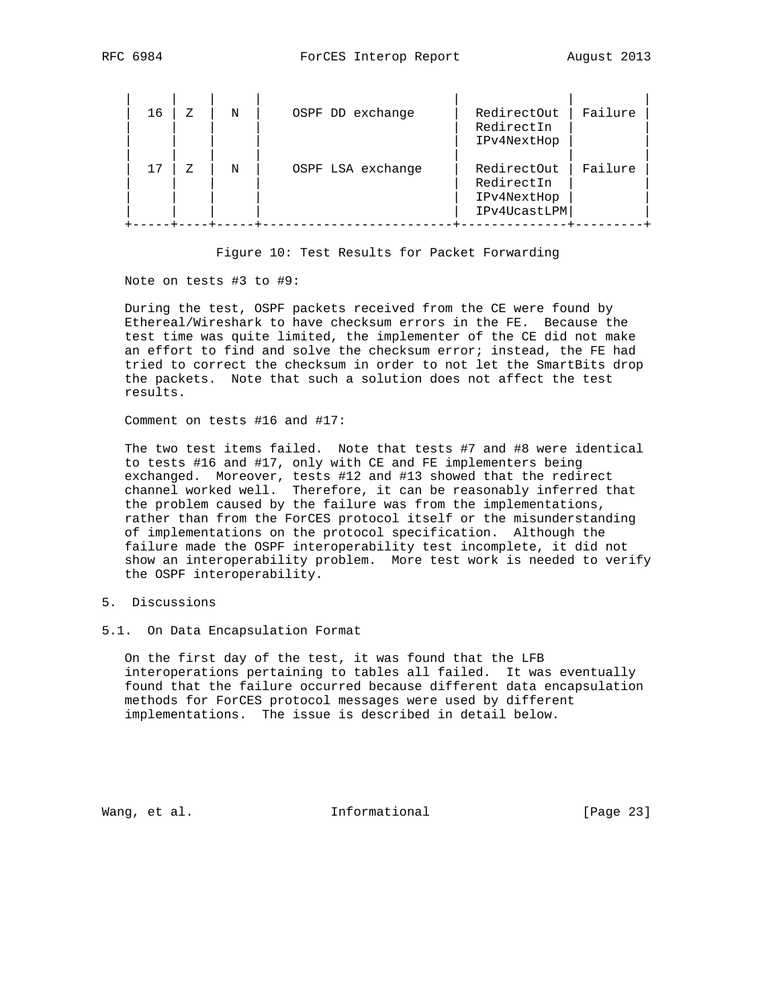| 16 | 7. | N | OSPF DD exchange  | RedirectOut<br>RedirectIn<br>IPv4NextHop                 | Failure |
|----|----|---|-------------------|----------------------------------------------------------|---------|
| 17 | 7. | N | OSPF LSA exchange | RedirectOut<br>RedirectIn<br>IPv4NextHop<br>IPv4UcastLPM | Failure |

Figure 10: Test Results for Packet Forwarding

#### Note on tests #3 to #9:

 During the test, OSPF packets received from the CE were found by Ethereal/Wireshark to have checksum errors in the FE. Because the test time was quite limited, the implementer of the CE did not make an effort to find and solve the checksum error; instead, the FE had tried to correct the checksum in order to not let the SmartBits drop the packets. Note that such a solution does not affect the test results.

Comment on tests #16 and #17:

 The two test items failed. Note that tests #7 and #8 were identical to tests #16 and #17, only with CE and FE implementers being exchanged. Moreover, tests #12 and #13 showed that the redirect channel worked well. Therefore, it can be reasonably inferred that the problem caused by the failure was from the implementations, rather than from the ForCES protocol itself or the misunderstanding of implementations on the protocol specification. Although the failure made the OSPF interoperability test incomplete, it did not show an interoperability problem. More test work is needed to verify the OSPF interoperability.

- 5. Discussions
- 5.1. On Data Encapsulation Format

 On the first day of the test, it was found that the LFB interoperations pertaining to tables all failed. It was eventually found that the failure occurred because different data encapsulation methods for ForCES protocol messages were used by different implementations. The issue is described in detail below.

Wang, et al. 10. Informational 1. [Page 23]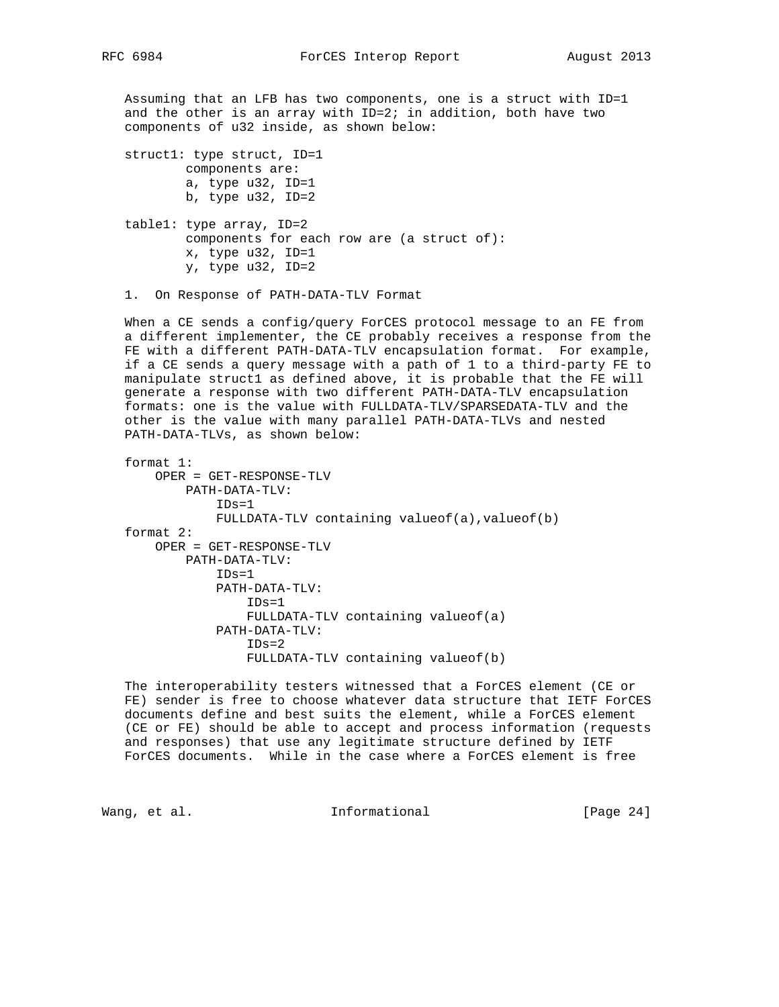Assuming that an LFB has two components, one is a struct with ID=1 and the other is an array with ID=2; in addition, both have two components of u32 inside, as shown below:

 struct1: type struct, ID=1 components are: a, type u32, ID=1 b, type u32, ID=2 table1: type array, ID=2 components for each row are (a struct of): x, type u32, ID=1 y, type u32, ID=2

1. On Response of PATH-DATA-TLV Format

 When a CE sends a config/query ForCES protocol message to an FE from a different implementer, the CE probably receives a response from the FE with a different PATH-DATA-TLV encapsulation format. For example, if a CE sends a query message with a path of 1 to a third-party FE to manipulate struct1 as defined above, it is probable that the FE will generate a response with two different PATH-DATA-TLV encapsulation formats: one is the value with FULLDATA-TLV/SPARSEDATA-TLV and the other is the value with many parallel PATH-DATA-TLVs and nested PATH-DATA-TLVs, as shown below:

```
 format 1:
    OPER = GET-RESPONSE-TLV
        PATH-DATA-TLV:
            IDs=1
           FULLDATA-TLV containing valueof(a), valueof(b)
format 2:
    OPER = GET-RESPONSE-TLV
        PATH-DATA-TLV:
            IDs=1
            PATH-DATA-TLV:
                TDs=1 FULLDATA-TLV containing valueof(a)
            PATH-DATA-TLV:
                TDs=2 FULLDATA-TLV containing valueof(b)
```
 The interoperability testers witnessed that a ForCES element (CE or FE) sender is free to choose whatever data structure that IETF ForCES documents define and best suits the element, while a ForCES element (CE or FE) should be able to accept and process information (requests and responses) that use any legitimate structure defined by IETF ForCES documents. While in the case where a ForCES element is free

Wang, et al. The informational The Informational (Page 24)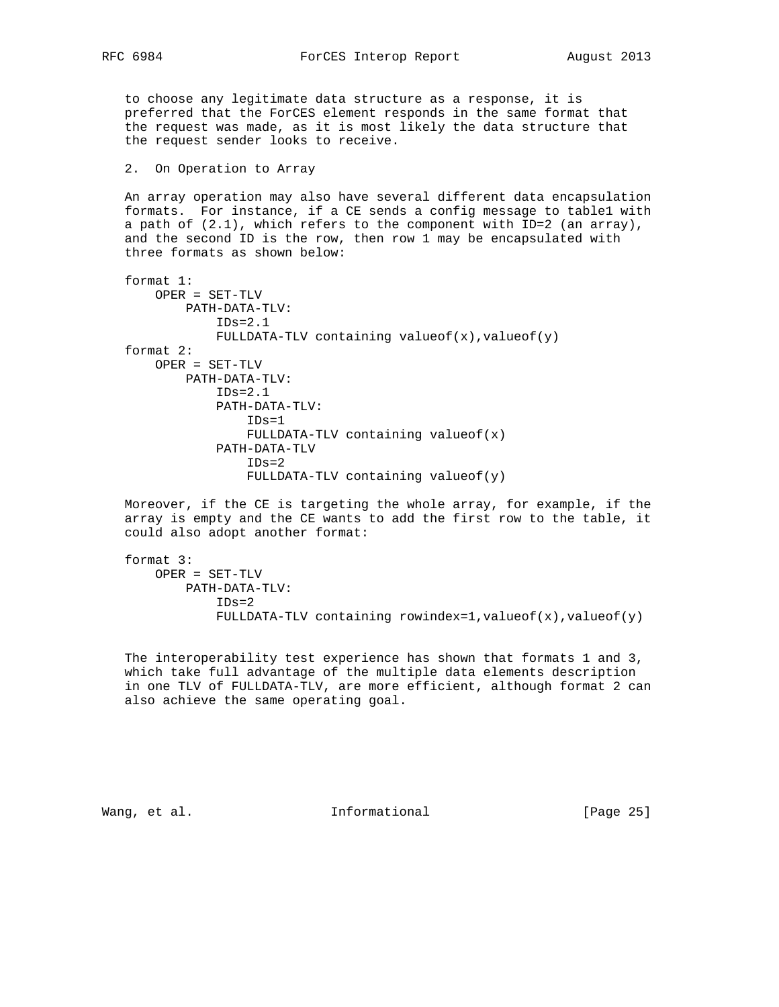to choose any legitimate data structure as a response, it is preferred that the ForCES element responds in the same format that the request was made, as it is most likely the data structure that the request sender looks to receive.

## 2. On Operation to Array

 An array operation may also have several different data encapsulation formats. For instance, if a CE sends a config message to table1 with a path of (2.1), which refers to the component with ID=2 (an array), and the second ID is the row, then row 1 may be encapsulated with three formats as shown below:

```
 format 1:
    OPER = SET-TLV
        PATH-DATA-TLV:
             IDs=2.1
            FULLDATA-TLV containing value of (x), value of (y) format 2:
    OPER = SET-TLV
        PATH-DATA-TLV:
           IDs=2.1 PATH-DATA-TLV:
                 IDs=1
                 FULLDATA-TLV containing valueof(x)
             PATH-DATA-TLV
                TDS = 2 FULLDATA-TLV containing valueof(y)
```
 Moreover, if the CE is targeting the whole array, for example, if the array is empty and the CE wants to add the first row to the table, it could also adopt another format:

```
 format 3:
   OPER = SET-TLV
        PATH-DATA-TLV:
            IDs=2
            FULLDATA-TLV containing rowindex=1, value of (x), value of (y)
```
 The interoperability test experience has shown that formats 1 and 3, which take full advantage of the multiple data elements description in one TLV of FULLDATA-TLV, are more efficient, although format 2 can also achieve the same operating goal.

Wang, et al. The Informational The Informational [Page 25]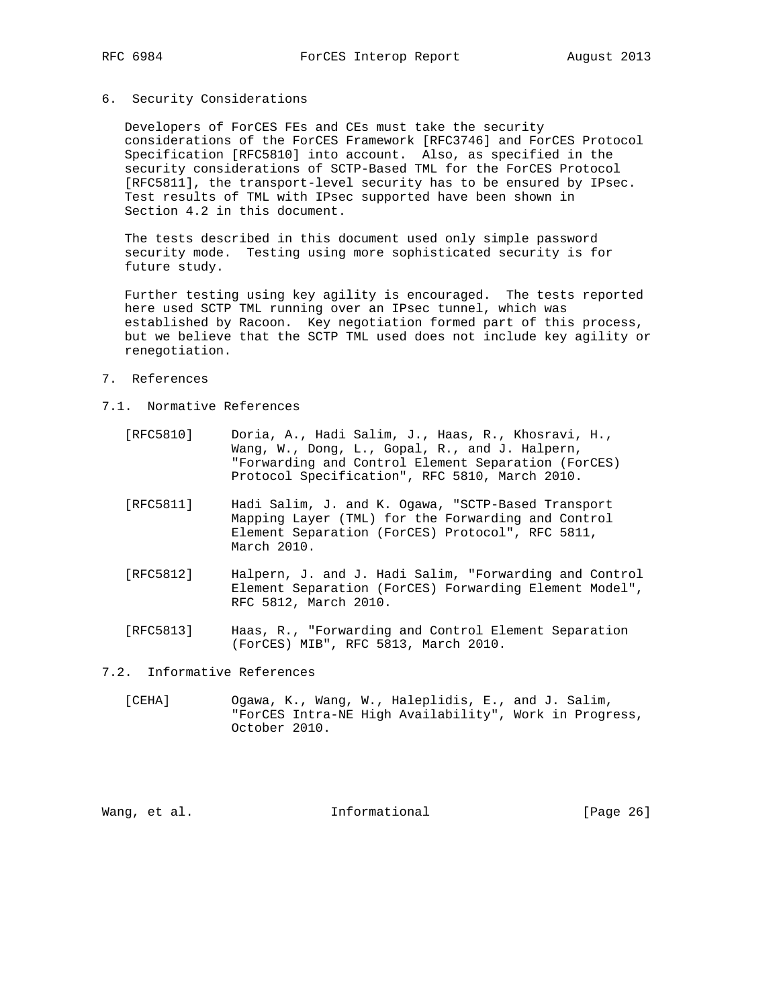### 6. Security Considerations

 Developers of ForCES FEs and CEs must take the security considerations of the ForCES Framework [RFC3746] and ForCES Protocol Specification [RFC5810] into account. Also, as specified in the security considerations of SCTP-Based TML for the ForCES Protocol [RFC5811], the transport-level security has to be ensured by IPsec. Test results of TML with IPsec supported have been shown in Section 4.2 in this document.

 The tests described in this document used only simple password security mode. Testing using more sophisticated security is for future study.

 Further testing using key agility is encouraged. The tests reported here used SCTP TML running over an IPsec tunnel, which was established by Racoon. Key negotiation formed part of this process, but we believe that the SCTP TML used does not include key agility or renegotiation.

- 7. References
- 7.1. Normative References
	- [RFC5810] Doria, A., Hadi Salim, J., Haas, R., Khosravi, H., Wang, W., Dong, L., Gopal, R., and J. Halpern, "Forwarding and Control Element Separation (ForCES) Protocol Specification", RFC 5810, March 2010.
	- [RFC5811] Hadi Salim, J. and K. Ogawa, "SCTP-Based Transport Mapping Layer (TML) for the Forwarding and Control Element Separation (ForCES) Protocol", RFC 5811, March 2010.
	- [RFC5812] Halpern, J. and J. Hadi Salim, "Forwarding and Control Element Separation (ForCES) Forwarding Element Model", RFC 5812, March 2010.
	- [RFC5813] Haas, R., "Forwarding and Control Element Separation (ForCES) MIB", RFC 5813, March 2010.

## 7.2. Informative References

 [CEHA] Ogawa, K., Wang, W., Haleplidis, E., and J. Salim, "ForCES Intra-NE High Availability", Work in Progress, October 2010.

Wang, et al. 1000 and 111 Informational 1000 and 1000 and 1000 and 1000 and 1000 and 1000 and 1000 and 1000 and 1000 and 1000 and 1000 and 1000 and 1000 and 1000 and 1000 and 1000 and 1000 and 1000 and 1000 and 1000 and 10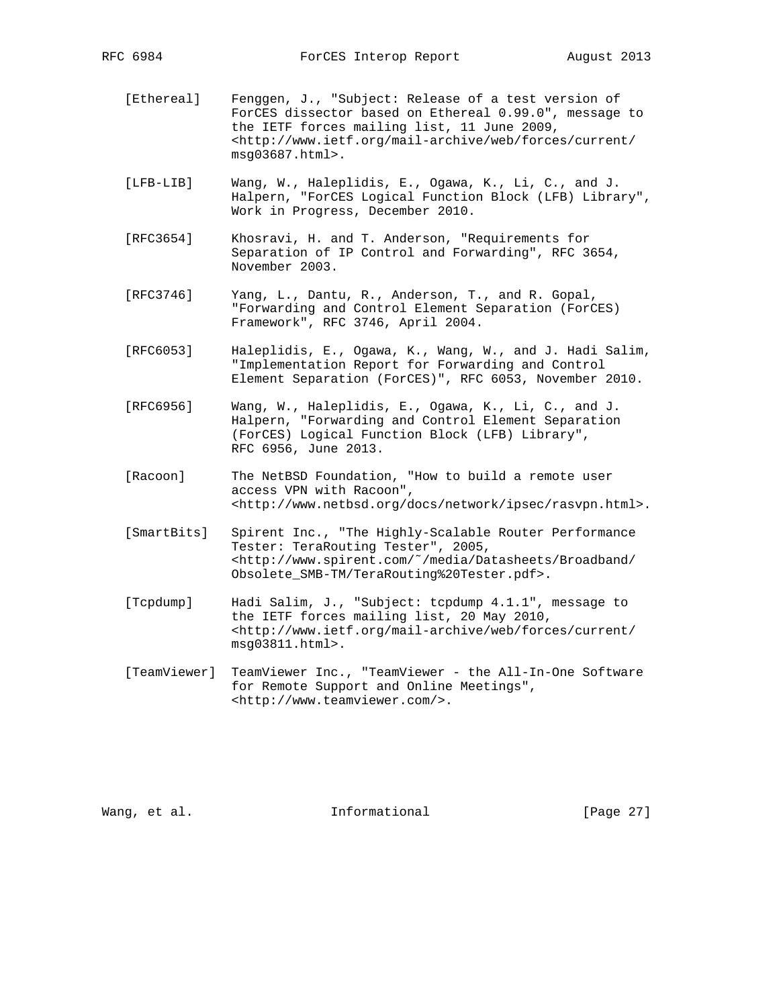- [Ethereal] Fenggen, J., "Subject: Release of a test version of ForCES dissector based on Ethereal 0.99.0", message to the IETF forces mailing list, 11 June 2009, <http://www.ietf.org/mail-archive/web/forces/current/ msg03687.html>.
- [LFB-LIB] Wang, W., Haleplidis, E., Ogawa, K., Li, C., and J. Halpern, "ForCES Logical Function Block (LFB) Library", Work in Progress, December 2010.
- [RFC3654] Khosravi, H. and T. Anderson, "Requirements for Separation of IP Control and Forwarding", RFC 3654, November 2003.
- [RFC3746] Yang, L., Dantu, R., Anderson, T., and R. Gopal, "Forwarding and Control Element Separation (ForCES) Framework", RFC 3746, April 2004.
- [RFC6053] Haleplidis, E., Ogawa, K., Wang, W., and J. Hadi Salim, "Implementation Report for Forwarding and Control Element Separation (ForCES)", RFC 6053, November 2010.
- [RFC6956] Wang, W., Haleplidis, E., Ogawa, K., Li, C., and J. Halpern, "Forwarding and Control Element Separation (ForCES) Logical Function Block (LFB) Library", RFC 6956, June 2013.
- [Racoon] The NetBSD Foundation, "How to build a remote user access VPN with Racoon", <http://www.netbsd.org/docs/network/ipsec/rasvpn.html>.
- [SmartBits] Spirent Inc., "The Highly-Scalable Router Performance Tester: TeraRouting Tester", 2005, <http://www.spirent.com/˜/media/Datasheets/Broadband/ Obsolete\_SMB-TM/TeraRouting%20Tester.pdf>.
- [Tcpdump] Hadi Salim, J., "Subject: tcpdump 4.1.1", message to the IETF forces mailing list, 20 May 2010, <http://www.ietf.org/mail-archive/web/forces/current/ msg03811.html>.
- [TeamViewer] TeamViewer Inc., "TeamViewer the All-In-One Software for Remote Support and Online Meetings", <http://www.teamviewer.com/>.

Wang, et al. The Informational The Informational [Page 27]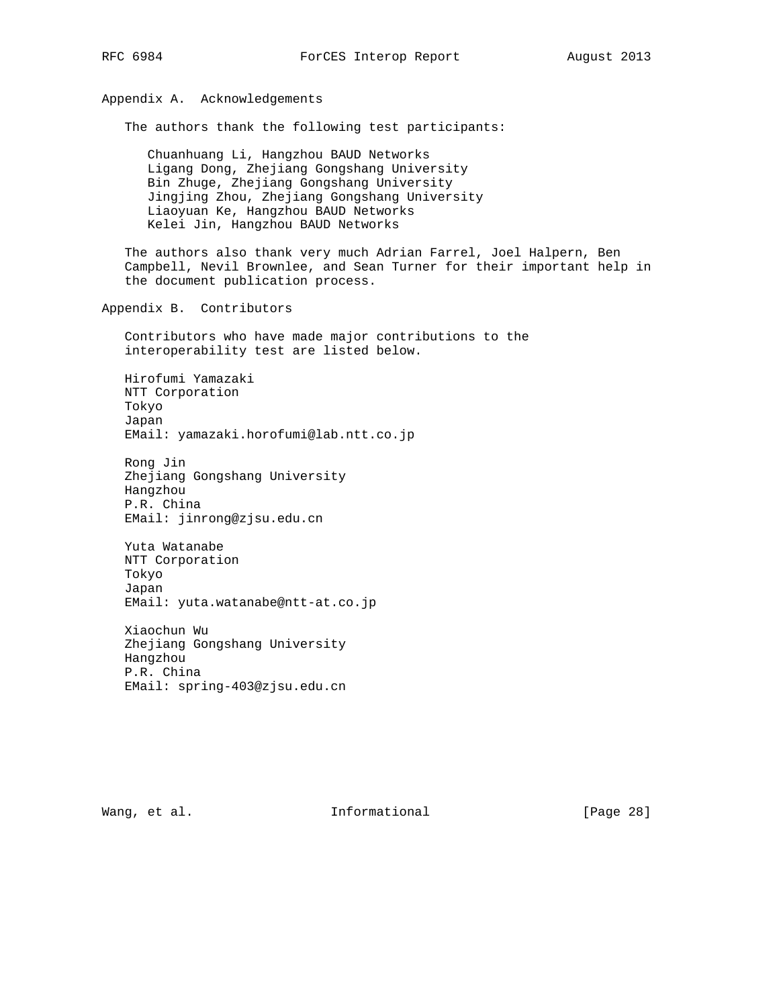# Appendix A. Acknowledgements

The authors thank the following test participants:

 Chuanhuang Li, Hangzhou BAUD Networks Ligang Dong, Zhejiang Gongshang University Bin Zhuge, Zhejiang Gongshang University Jingjing Zhou, Zhejiang Gongshang University Liaoyuan Ke, Hangzhou BAUD Networks Kelei Jin, Hangzhou BAUD Networks

 The authors also thank very much Adrian Farrel, Joel Halpern, Ben Campbell, Nevil Brownlee, and Sean Turner for their important help in the document publication process.

Appendix B. Contributors

 Contributors who have made major contributions to the interoperability test are listed below.

 Hirofumi Yamazaki NTT Corporation Tokyo Japan EMail: yamazaki.horofumi@lab.ntt.co.jp

 Rong Jin Zhejiang Gongshang University Hangzhou P.R. China EMail: jinrong@zjsu.edu.cn

 Yuta Watanabe NTT Corporation Tokyo Japan EMail: yuta.watanabe@ntt-at.co.jp

 Xiaochun Wu Zhejiang Gongshang University Hangzhou P.R. China EMail: spring-403@zjsu.edu.cn

Wang, et al. The Informational The IPage 28]